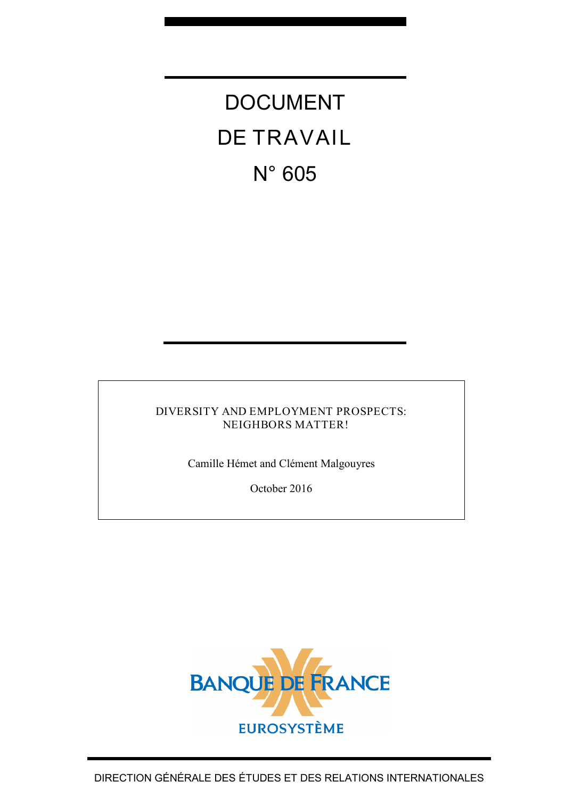DOCUMENT DE TRAVAIL N° 605

DIVERSITY AND EMPLOYMENT PROSPECTS: NEIGHBORS MATTER!

Camille Hémet and Clément Malgouyres

October 2016

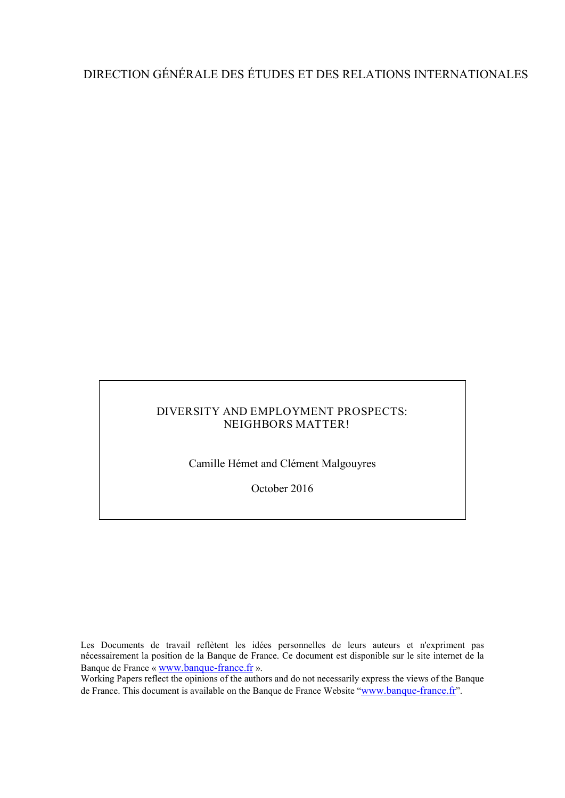## DIRECTION GÉNÉRALE DES ÉTUDES ET DES RELATIONS INTERNATIONALES

### DIVERSITY AND EMPLOYMENT PROSPECTS: NEIGHBORS MATTER!

Camille Hémet and Clément Malgouyres

October 2016

Les Documents de travail reflètent les idées personnelles de leurs auteurs et n'expriment pas nécessairement la position de la Banque de France. Ce document est disponible sur le site internet de la Banque de France « [www.banque-france.fr](http://www.banque-france.fr/) ».

Working Papers reflect the opinions of the authors and do not necessarily express the views of the Banque de France. This document is available on the Banque de France Website ["www.banque-france.fr"](http://www.banque-france.fr/).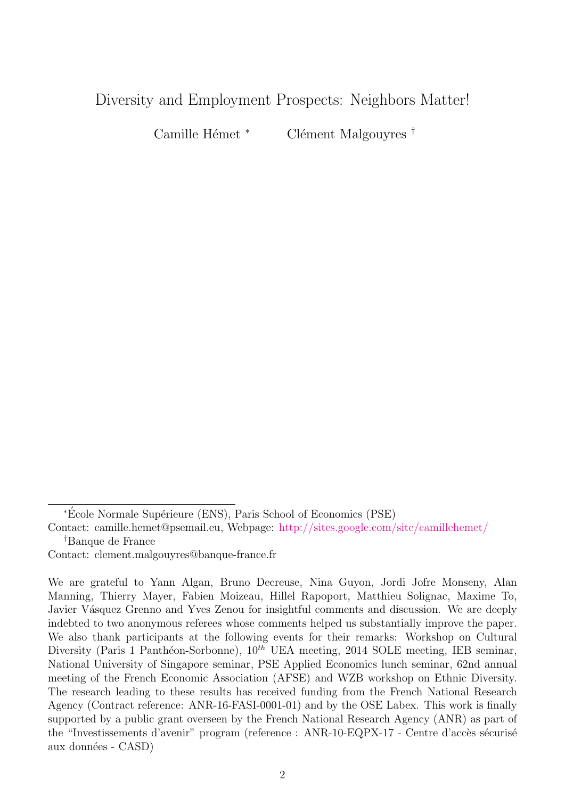### <span id="page-2-0"></span>Diversity and Employment Prospects: Neighbors Matter!

Camille Hémet <sup>∗</sup> Clément Malgouyres <sup>†</sup>

<sup>\*</sup>École Normale Supérieure (ENS), Paris School of Economics (PSE)

Contact: camille.hemet@psemail.eu, Webpage: <http://sites.google.com/site/camillehemet/> †Banque de France

Contact: clement.malgouyres@banque-france.fr

We are grateful to Yann Algan, Bruno Decreuse, Nina Guyon, Jordi Jofre Monseny, Alan Manning, Thierry Mayer, Fabien Moizeau, Hillel Rapoport, Matthieu Solignac, Maxime To, Javier Vásquez Grenno and Yves Zenou for insightful comments and discussion. We are deeply indebted to two anonymous referees whose comments helped us substantially improve the paper. We also thank participants at the following events for their remarks: Workshop on Cultural Diversity (Paris 1 Panthéon-Sorbonne),  $10^{th}$  UEA meeting, 2014 SOLE meeting, IEB seminar, National University of Singapore seminar, PSE Applied Economics lunch seminar, 62nd annual meeting of the French Economic Association (AFSE) and WZB workshop on Ethnic Diversity. The research leading to these results has received funding from the French National Research Agency (Contract reference: ANR-16-FASI-0001-01) and by the OSE Labex. This work is finally supported by a public grant overseen by the French National Research Agency (ANR) as part of the "Investissements d'avenir" program (reference : ANR-10-EQPX-17 - Centre d'accès sécurisé aux données - CASD)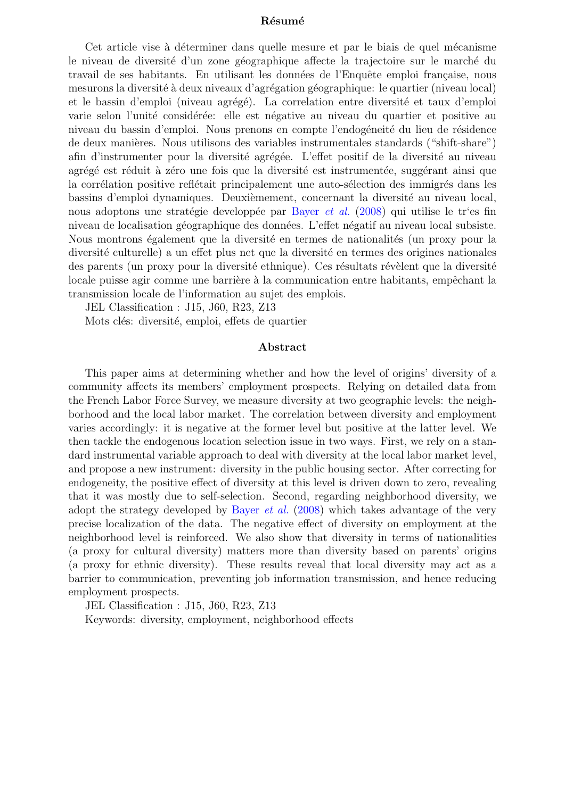#### Résumé

Cet article vise à déterminer dans quelle mesure et par le biais de quel mécanisme le niveau de diversité d'un zone géographique affecte la trajectoire sur le marché du travail de ses habitants. En utilisant les données de l'Enquête emploi française, nous mesurons la diversité à deux niveaux d'agrégation géographique: le quartier (niveau local) et le bassin d'emploi (niveau agrégé). La correlation entre diversité et taux d'emploi varie selon l'unité considérée: elle est négative au niveau du quartier et positive au niveau du bassin d'emploi. Nous prenons en compte l'endogéneité du lieu de résidence de deux manières. Nous utilisons des variables instrumentales standards ("shift-share") afin d'instrumenter pour la diversité agrégée. L'effet positif de la diversité au niveau agrégé est réduit à zéro une fois que la diversité est instrumentée, suggérant ainsi que la corrélation positive reflétait principalement une auto-sélection des immigrés dans les bassins d'emploi dynamiques. Deuxièmement, concernant la diversité au niveau local, nous adoptons une stratégie developpée par [Bayer](#page-38-0) et al. [\(2008\)](#page-38-0) qui utilise le tr'es fin niveau de localisation géographique des données. L'effet négatif au niveau local subsiste. Nous montrons également que la diversité en termes de nationalités (un proxy pour la diversité culturelle) a un effet plus net que la diversité en termes des origines nationales des parents (un proxy pour la diversité ethnique). Ces résultats révèlent que la diversité locale puisse agir comme une barrière à la communication entre habitants, empêchant la transmission locale de l'information au sujet des emplois.

JEL Classification : J15, J60, R23, Z13

Mots clés: diversité, emploi, effets de quartier

#### Abstract

This paper aims at determining whether and how the level of origins' diversity of a community affects its members' employment prospects. Relying on detailed data from the French Labor Force Survey, we measure diversity at two geographic levels: the neighborhood and the local labor market. The correlation between diversity and employment varies accordingly: it is negative at the former level but positive at the latter level. We then tackle the endogenous location selection issue in two ways. First, we rely on a standard instrumental variable approach to deal with diversity at the local labor market level, and propose a new instrument: diversity in the public housing sector. After correcting for endogeneity, the positive effect of diversity at this level is driven down to zero, revealing that it was mostly due to self-selection. Second, regarding neighborhood diversity, we adopt the strategy developed by [Bayer](#page-38-0) et al. [\(2008\)](#page-38-0) which takes advantage of the very precise localization of the data. The negative effect of diversity on employment at the neighborhood level is reinforced. We also show that diversity in terms of nationalities (a proxy for cultural diversity) matters more than diversity based on parents' origins (a proxy for ethnic diversity). These results reveal that local diversity may act as a barrier to communication, preventing job information transmission, and hence reducing employment prospects.

JEL Classification : J15, J60, R23, Z13

Keywords: diversity, employment, neighborhood effects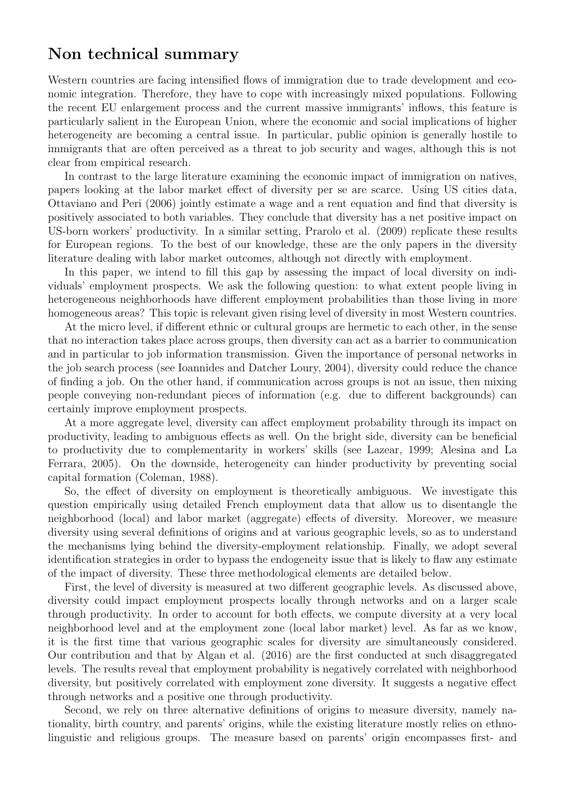## Non technical summary

Western countries are facing intensified flows of immigration due to trade development and economic integration. Therefore, they have to cope with increasingly mixed populations. Following the recent EU enlargement process and the current massive immigrants' inflows, this feature is particularly salient in the European Union, where the economic and social implications of higher heterogeneity are becoming a central issue. In particular, public opinion is generally hostile to immigrants that are often perceived as a threat to job security and wages, although this is not clear from empirical research.

In contrast to the large literature examining the economic impact of immigration on natives, papers looking at the labor market effect of diversity per se are scarce. Using US cities data, Ottaviano and Peri (2006) jointly estimate a wage and a rent equation and find that diversity is positively associated to both variables. They conclude that diversity has a net positive impact on US-born workers' productivity. In a similar setting, Prarolo et al. (2009) replicate these results for European regions. To the best of our knowledge, these are the only papers in the diversity literature dealing with labor market outcomes, although not directly with employment.

In this paper, we intend to fill this gap by assessing the impact of local diversity on individuals' employment prospects. We ask the following question: to what extent people living in heterogeneous neighborhoods have different employment probabilities than those living in more homogeneous areas? This topic is relevant given rising level of diversity in most Western countries.

At the micro level, if different ethnic or cultural groups are hermetic to each other, in the sense that no interaction takes place across groups, then diversity can act as a barrier to communication and in particular to job information transmission. Given the importance of personal networks in the job search process (see Ioannides and Datcher Loury, 2004), diversity could reduce the chance of finding a job. On the other hand, if communication across groups is not an issue, then mixing people conveying non-redundant pieces of information (e.g. due to different backgrounds) can certainly improve employment prospects.

At a more aggregate level, diversity can affect employment probability through its impact on productivity, leading to ambiguous effects as well. On the bright side, diversity can be beneficial to productivity due to complementarity in workers' skills (see Lazear, 1999; Alesina and La Ferrara, 2005). On the downside, heterogeneity can hinder productivity by preventing social capital formation (Coleman, 1988).

So, the effect of diversity on employment is theoretically ambiguous. We investigate this question empirically using detailed French employment data that allow us to disentangle the neighborhood (local) and labor market (aggregate) effects of diversity. Moreover, we measure diversity using several definitions of origins and at various geographic levels, so as to understand the mechanisms lying behind the diversity-employment relationship. Finally, we adopt several identification strategies in order to bypass the endogeneity issue that is likely to flaw any estimate of the impact of diversity. These three methodological elements are detailed below.

First, the level of diversity is measured at two different geographic levels. As discussed above, diversity could impact employment prospects locally through networks and on a larger scale through productivity. In order to account for both effects, we compute diversity at a very local neighborhood level and at the employment zone (local labor market) level. As far as we know, it is the first time that various geographic scales for diversity are simultaneously considered. Our contribution and that by Algan et al. (2016) are the first conducted at such disaggregated levels. The results reveal that employment probability is negatively correlated with neighborhood diversity, but positively correlated with employment zone diversity. It suggests a negative effect through networks and a positive one through productivity.

Second, we rely on three alternative definitions of origins to measure diversity, namely nationality, birth country, and parents' origins, while the existing literature mostly relies on ethnolinguistic and religious groups. The measure based on parents' origin encompasses first- and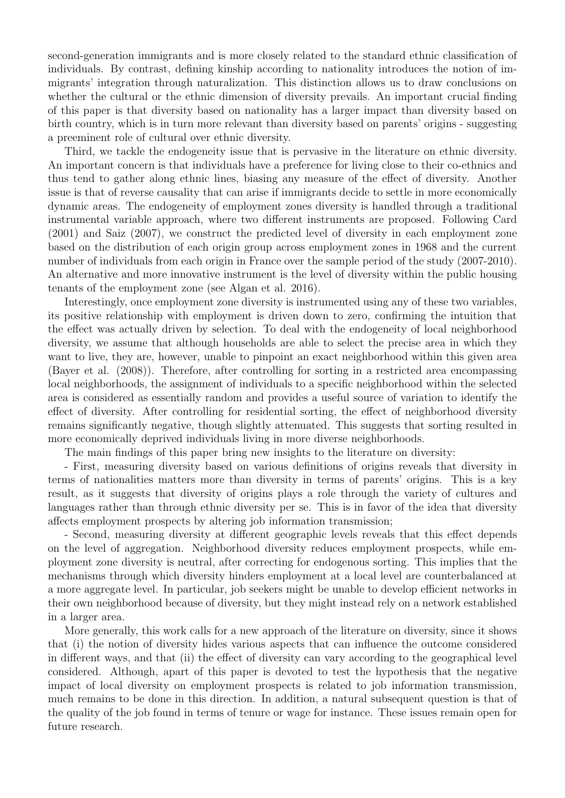second-generation immigrants and is more closely related to the standard ethnic classification of individuals. By contrast, defining kinship according to nationality introduces the notion of immigrants' integration through naturalization. This distinction allows us to draw conclusions on whether the cultural or the ethnic dimension of diversity prevails. An important crucial finding of this paper is that diversity based on nationality has a larger impact than diversity based on birth country, which is in turn more relevant than diversity based on parents' origins - suggesting a preeminent role of cultural over ethnic diversity.

Third, we tackle the endogeneity issue that is pervasive in the literature on ethnic diversity. An important concern is that individuals have a preference for living close to their co-ethnics and thus tend to gather along ethnic lines, biasing any measure of the effect of diversity. Another issue is that of reverse causality that can arise if immigrants decide to settle in more economically dynamic areas. The endogeneity of employment zones diversity is handled through a traditional instrumental variable approach, where two different instruments are proposed. Following Card (2001) and Saiz (2007), we construct the predicted level of diversity in each employment zone based on the distribution of each origin group across employment zones in 1968 and the current number of individuals from each origin in France over the sample period of the study (2007-2010). An alternative and more innovative instrument is the level of diversity within the public housing tenants of the employment zone (see Algan et al. 2016).

Interestingly, once employment zone diversity is instrumented using any of these two variables, its positive relationship with employment is driven down to zero, confirming the intuition that the effect was actually driven by selection. To deal with the endogeneity of local neighborhood diversity, we assume that although households are able to select the precise area in which they want to live, they are, however, unable to pinpoint an exact neighborhood within this given area (Bayer et al. (2008)). Therefore, after controlling for sorting in a restricted area encompassing local neighborhoods, the assignment of individuals to a specific neighborhood within the selected area is considered as essentially random and provides a useful source of variation to identify the effect of diversity. After controlling for residential sorting, the effect of neighborhood diversity remains significantly negative, though slightly attenuated. This suggests that sorting resulted in more economically deprived individuals living in more diverse neighborhoods.

The main findings of this paper bring new insights to the literature on diversity:

- First, measuring diversity based on various definitions of origins reveals that diversity in terms of nationalities matters more than diversity in terms of parents' origins. This is a key result, as it suggests that diversity of origins plays a role through the variety of cultures and languages rather than through ethnic diversity per se. This is in favor of the idea that diversity affects employment prospects by altering job information transmission;

- Second, measuring diversity at different geographic levels reveals that this effect depends on the level of aggregation. Neighborhood diversity reduces employment prospects, while employment zone diversity is neutral, after correcting for endogenous sorting. This implies that the mechanisms through which diversity hinders employment at a local level are counterbalanced at a more aggregate level. In particular, job seekers might be unable to develop efficient networks in their own neighborhood because of diversity, but they might instead rely on a network established in a larger area.

More generally, this work calls for a new approach of the literature on diversity, since it shows that (i) the notion of diversity hides various aspects that can influence the outcome considered in different ways, and that (ii) the effect of diversity can vary according to the geographical level considered. Although, apart of this paper is devoted to test the hypothesis that the negative impact of local diversity on employment prospects is related to job information transmission, much remains to be done in this direction. In addition, a natural subsequent question is that of the quality of the job found in terms of tenure or wage for instance. These issues remain open for future research.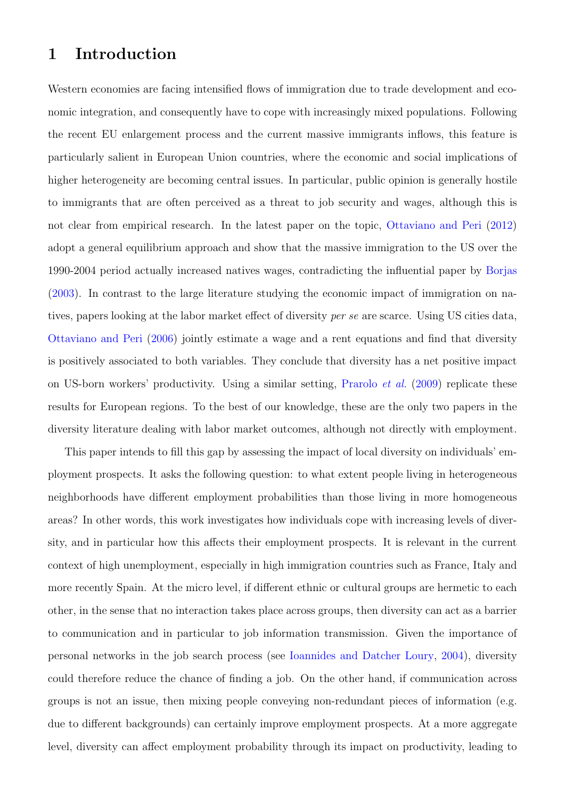# 1 Introduction

Western economies are facing intensified flows of immigration due to trade development and economic integration, and consequently have to cope with increasingly mixed populations. Following the recent EU enlargement process and the current massive immigrants inflows, this feature is particularly salient in European Union countries, where the economic and social implications of higher heterogeneity are becoming central issues. In particular, public opinion is generally hostile to immigrants that are often perceived as a threat to job security and wages, although this is not clear from empirical research. In the latest paper on the topic, [Ottaviano and Peri](#page-39-0) [\(2012\)](#page-39-0) adopt a general equilibrium approach and show that the massive immigration to the US over the 1990-2004 period actually increased natives wages, contradicting the influential paper by [Borjas](#page-38-1) [\(2003\)](#page-38-1). In contrast to the large literature studying the economic impact of immigration on natives, papers looking at the labor market effect of diversity per se are scarce. Using US cities data, [Ottaviano and Peri](#page-39-1) [\(2006\)](#page-39-1) jointly estimate a wage and a rent equations and find that diversity is positively associated to both variables. They conclude that diversity has a net positive impact on US-born workers' productivity. Using a similar setting, [Prarolo](#page-40-0) et al. [\(2009\)](#page-40-0) replicate these results for European regions. To the best of our knowledge, these are the only two papers in the diversity literature dealing with labor market outcomes, although not directly with employment.

This paper intends to fill this gap by assessing the impact of local diversity on individuals' employment prospects. It asks the following question: to what extent people living in heterogeneous neighborhoods have different employment probabilities than those living in more homogeneous areas? In other words, this work investigates how individuals cope with increasing levels of diversity, and in particular how this affects their employment prospects. It is relevant in the current context of high unemployment, especially in high immigration countries such as France, Italy and more recently Spain. At the micro level, if different ethnic or cultural groups are hermetic to each other, in the sense that no interaction takes place across groups, then diversity can act as a barrier to communication and in particular to job information transmission. Given the importance of personal networks in the job search process (see [Ioannides and Datcher Loury,](#page-39-2) [2004\)](#page-39-2), diversity could therefore reduce the chance of finding a job. On the other hand, if communication across groups is not an issue, then mixing people conveying non-redundant pieces of information (e.g. due to different backgrounds) can certainly improve employment prospects. At a more aggregate level, diversity can affect employment probability through its impact on productivity, leading to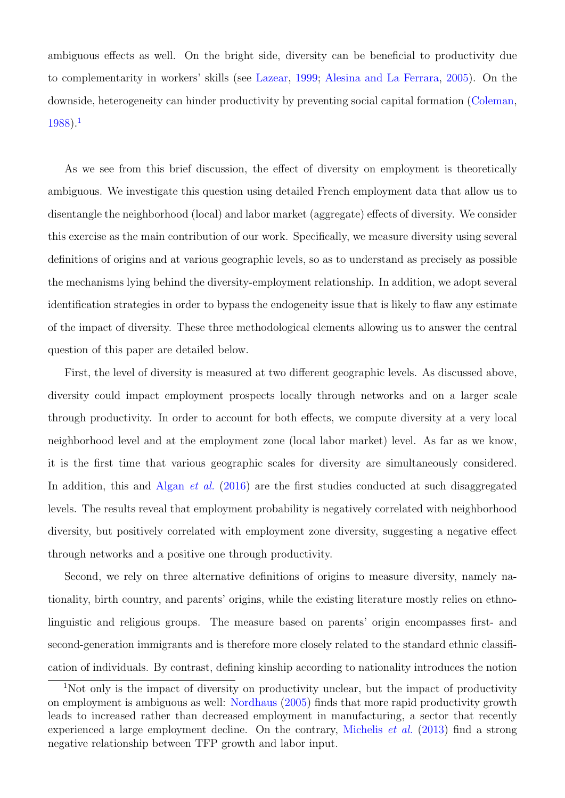ambiguous effects as well. On the bright side, diversity can be beneficial to productivity due to complementarity in workers' skills (see [Lazear,](#page-39-3) [1999;](#page-39-3) [Alesina and La Ferrara,](#page-38-2) [2005\)](#page-38-2). On the downside, heterogeneity can hinder productivity by preventing social capital formation [\(Coleman,](#page-38-3) [1988\)](#page-38-3).[1](#page-2-0)

As we see from this brief discussion, the effect of diversity on employment is theoretically ambiguous. We investigate this question using detailed French employment data that allow us to disentangle the neighborhood (local) and labor market (aggregate) effects of diversity. We consider this exercise as the main contribution of our work. Specifically, we measure diversity using several definitions of origins and at various geographic levels, so as to understand as precisely as possible the mechanisms lying behind the diversity-employment relationship. In addition, we adopt several identification strategies in order to bypass the endogeneity issue that is likely to flaw any estimate of the impact of diversity. These three methodological elements allowing us to answer the central question of this paper are detailed below.

First, the level of diversity is measured at two different geographic levels. As discussed above, diversity could impact employment prospects locally through networks and on a larger scale through productivity. In order to account for both effects, we compute diversity at a very local neighborhood level and at the employment zone (local labor market) level. As far as we know, it is the first time that various geographic scales for diversity are simultaneously considered. In addition, this and [Algan](#page-38-4) *et al.* [\(2016\)](#page-38-4) are the first studies conducted at such disaggregated levels. The results reveal that employment probability is negatively correlated with neighborhood diversity, but positively correlated with employment zone diversity, suggesting a negative effect through networks and a positive one through productivity.

Second, we rely on three alternative definitions of origins to measure diversity, namely nationality, birth country, and parents' origins, while the existing literature mostly relies on ethnolinguistic and religious groups. The measure based on parents' origin encompasses first- and second-generation immigrants and is therefore more closely related to the standard ethnic classification of individuals. By contrast, defining kinship according to nationality introduces the notion

<sup>1</sup>Not only is the impact of diversity on productivity unclear, but the impact of productivity on employment is ambiguous as well: [Nordhaus](#page-39-4) [\(2005\)](#page-39-4) finds that more rapid productivity growth leads to increased rather than decreased employment in manufacturing, a sector that recently experienced a large employment decline. On the contrary, [Michelis](#page-39-5) et al. [\(2013\)](#page-39-5) find a strong negative relationship between TFP growth and labor input.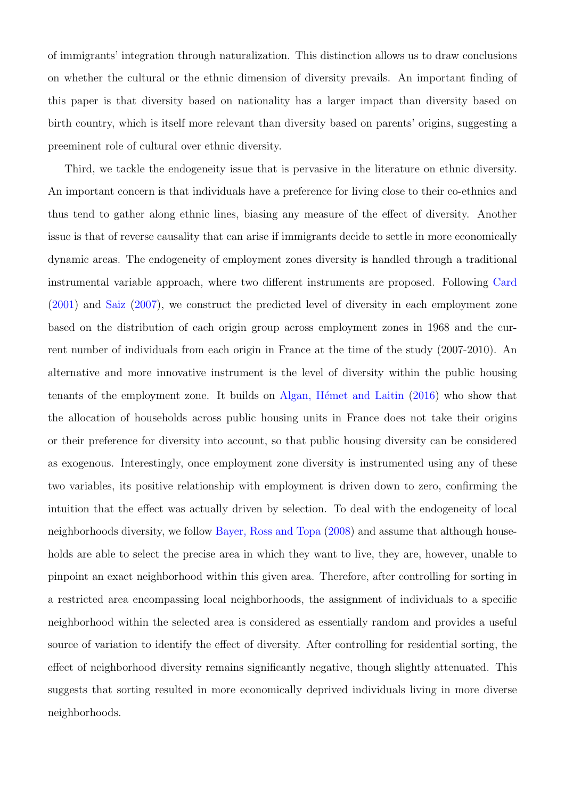of immigrants' integration through naturalization. This distinction allows us to draw conclusions on whether the cultural or the ethnic dimension of diversity prevails. An important finding of this paper is that diversity based on nationality has a larger impact than diversity based on birth country, which is itself more relevant than diversity based on parents' origins, suggesting a preeminent role of cultural over ethnic diversity.

Third, we tackle the endogeneity issue that is pervasive in the literature on ethnic diversity. An important concern is that individuals have a preference for living close to their co-ethnics and thus tend to gather along ethnic lines, biasing any measure of the effect of diversity. Another issue is that of reverse causality that can arise if immigrants decide to settle in more economically dynamic areas. The endogeneity of employment zones diversity is handled through a traditional instrumental variable approach, where two different instruments are proposed. Following [Card](#page-38-5) [\(2001\)](#page-38-5) and [Saiz](#page-40-1) [\(2007\)](#page-40-1), we construct the predicted level of diversity in each employment zone based on the distribution of each origin group across employment zones in 1968 and the current number of individuals from each origin in France at the time of the study (2007-2010). An alternative and more innovative instrument is the level of diversity within the public housing tenants of the employment zone. It builds on Algan, Hémet and Laitin [\(2016\)](#page-38-4) who show that the allocation of households across public housing units in France does not take their origins or their preference for diversity into account, so that public housing diversity can be considered as exogenous. Interestingly, once employment zone diversity is instrumented using any of these two variables, its positive relationship with employment is driven down to zero, confirming the intuition that the effect was actually driven by selection. To deal with the endogeneity of local neighborhoods diversity, we follow [Bayer, Ross and Topa](#page-38-0) [\(2008\)](#page-38-0) and assume that although households are able to select the precise area in which they want to live, they are, however, unable to pinpoint an exact neighborhood within this given area. Therefore, after controlling for sorting in a restricted area encompassing local neighborhoods, the assignment of individuals to a specific neighborhood within the selected area is considered as essentially random and provides a useful source of variation to identify the effect of diversity. After controlling for residential sorting, the effect of neighborhood diversity remains significantly negative, though slightly attenuated. This suggests that sorting resulted in more economically deprived individuals living in more diverse neighborhoods.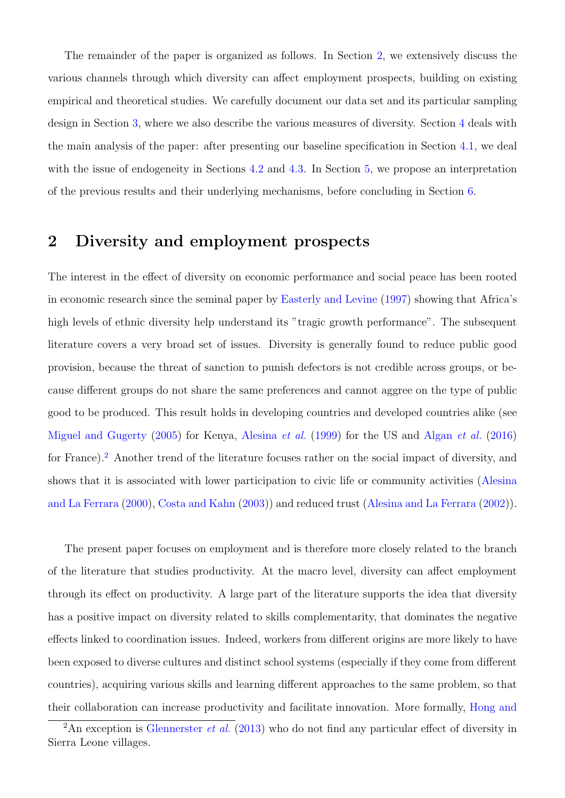The remainder of the paper is organized as follows. In Section [2,](#page-9-0) we extensively discuss the various channels through which diversity can affect employment prospects, building on existing empirical and theoretical studies. We carefully document our data set and its particular sampling design in Section [3,](#page-12-0) where we also describe the various measures of diversity. Section [4](#page-15-0) deals with the main analysis of the paper: after presenting our baseline specification in Section [4.1,](#page-15-1) we deal with the issue of endogeneity in Sections [4.2](#page-18-0) and [4.3.](#page-22-0) In Section [5,](#page-26-0) we propose an interpretation of the previous results and their underlying mechanisms, before concluding in Section [6.](#page-29-0)

### <span id="page-9-0"></span>2 Diversity and employment prospects

The interest in the effect of diversity on economic performance and social peace has been rooted in economic research since the seminal paper by [Easterly and Levine](#page-39-6) [\(1997\)](#page-39-6) showing that Africa's high levels of ethnic diversity help understand its "tragic growth performance". The subsequent literature covers a very broad set of issues. Diversity is generally found to reduce public good provision, because the threat of sanction to punish defectors is not credible across groups, or because different groups do not share the same preferences and cannot aggree on the type of public good to be produced. This result holds in developing countries and developed countries alike (see [Miguel and Gugerty](#page-39-7) [\(2005\)](#page-39-7) for Kenya, [Alesina](#page-38-6) et al. [\(1999\)](#page-38-6) for the US and [Algan](#page-38-4) et al. [\(2016\)](#page-38-4) for France).<sup>[2](#page-2-0)</sup> Another trend of the literature focuses rather on the social impact of diversity, and shows that it is associated with lower participation to civic life or community activities [\(Alesina](#page-38-7) [and La Ferrara](#page-38-7) [\(2000\)](#page-38-7), [Costa and Kahn](#page-38-8) [\(2003\)](#page-38-8)) and reduced trust [\(Alesina and La Ferrara](#page-38-9) [\(2002\)](#page-38-9)).

The present paper focuses on employment and is therefore more closely related to the branch of the literature that studies productivity. At the macro level, diversity can affect employment through its effect on productivity. A large part of the literature supports the idea that diversity has a positive impact on diversity related to skills complementarity, that dominates the negative effects linked to coordination issues. Indeed, workers from different origins are more likely to have been exposed to diverse cultures and distinct school systems (especially if they come from different countries), acquiring various skills and learning different approaches to the same problem, so that their collaboration can increase productivity and facilitate innovation. More formally, [Hong and](#page-39-8)

 $\sqrt[2]{2}$ An exception is [Glennerster](#page-39-9) *et al.* [\(2013\) who do not find any particular effect of diversity in](#page-39-8) [Sierra Leone villages.](#page-39-8)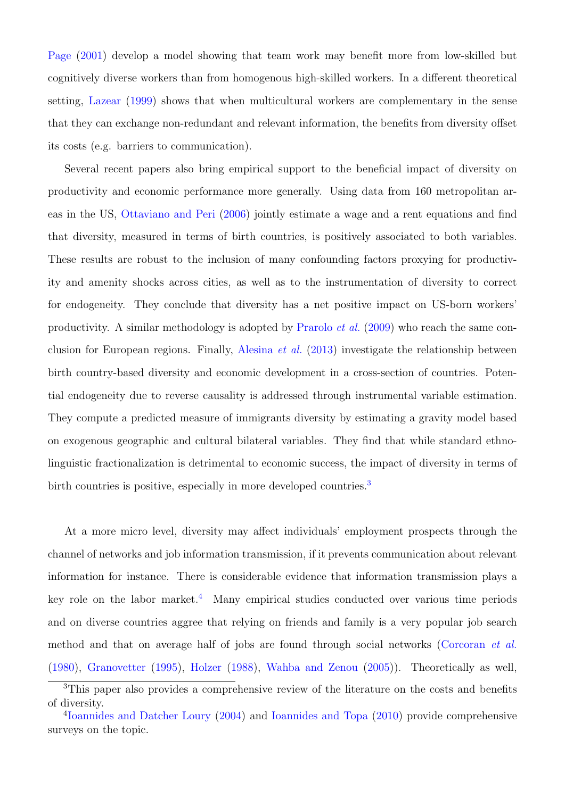[Page](#page-39-8) [\(2001\)](#page-39-8) develop a model showing that team work may benefit more from low-skilled but cognitively diverse workers than from homogenous high-skilled workers. In a different theoretical setting, [Lazear](#page-39-3) [\(1999\)](#page-39-3) shows that when multicultural workers are complementary in the sense that they can exchange non-redundant and relevant information, the benefits from diversity offset its costs (e.g. barriers to communication).

Several recent papers also bring empirical support to the beneficial impact of diversity on productivity and economic performance more generally. Using data from 160 metropolitan areas in the US, [Ottaviano and Peri](#page-39-1) [\(2006\)](#page-39-1) jointly estimate a wage and a rent equations and find that diversity, measured in terms of birth countries, is positively associated to both variables. These results are robust to the inclusion of many confounding factors proxying for productivity and amenity shocks across cities, as well as to the instrumentation of diversity to correct for endogeneity. They conclude that diversity has a net positive impact on US-born workers' productivity. A similar methodology is adopted by [Prarolo](#page-40-0) et al. [\(2009\)](#page-40-0) who reach the same con-clusion for European regions. Finally, [Alesina](#page-38-10) *et al.* [\(2013\)](#page-38-10) investigate the relationship between birth country-based diversity and economic development in a cross-section of countries. Potential endogeneity due to reverse causality is addressed through instrumental variable estimation. They compute a predicted measure of immigrants diversity by estimating a gravity model based on exogenous geographic and cultural bilateral variables. They find that while standard ethnolinguistic fractionalization is detrimental to economic success, the impact of diversity in terms of birth countries is positive, especially in more developed countries.<sup>[3](#page-2-0)</sup>

At a more micro level, diversity may affect individuals' employment prospects through the channel of networks and job information transmission, if it prevents communication about relevant information for instance. There is considerable evidence that information transmission plays a key role on the labor market.[4](#page-2-0) Many empirical studies conducted over various time periods and on diverse countries aggree that relying on friends and family is a very popular job search method and that on average half of jobs are found through social networks [\(Corcoran](#page-38-11) *et al.*) [\(1980\)](#page-38-11), [Granovetter](#page-39-10) [\(1995\)](#page-39-10), [Holzer](#page-39-11) [\(1988\)](#page-39-11), [Wahba and Zenou](#page-40-2) [\(2005\)](#page-40-2)). Theoretically as well,

<sup>3</sup>This paper also provides a comprehensive review of the literature on the costs and benefits of diversity.

<sup>&</sup>lt;sup>4</sup>[Ioannides and Datcher Loury](#page-39-2) [\(2004\)](#page-39-2) and [Ioannides and Topa](#page-39-12) [\(2010\)](#page-39-12) provide comprehensive surveys on the topic.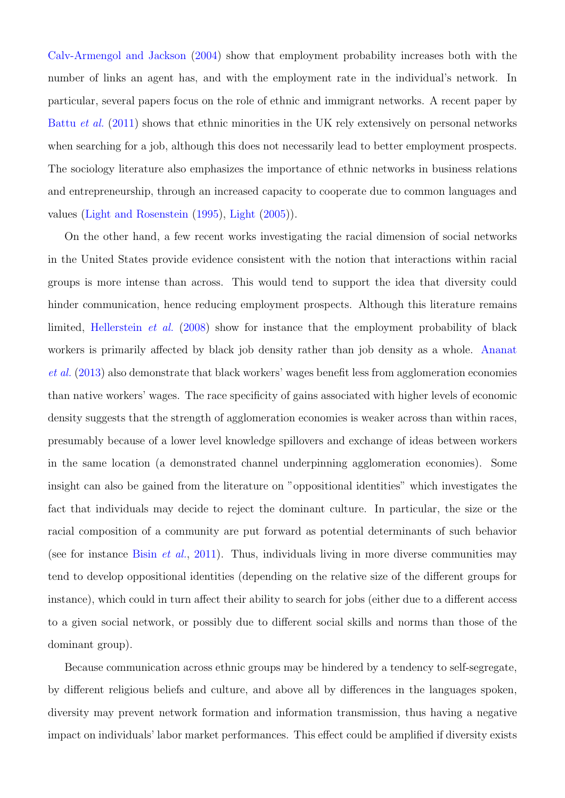[Calv-Armengol and Jackson](#page-38-12) [\(2004\)](#page-38-12) show that employment probability increases both with the number of links an agent has, and with the employment rate in the individual's network. In particular, several papers focus on the role of ethnic and immigrant networks. A recent paper by [Battu](#page-38-13) et al. [\(2011\)](#page-38-13) shows that ethnic minorities in the UK rely extensively on personal networks when searching for a job, although this does not necessarily lead to better employment prospects. The sociology literature also emphasizes the importance of ethnic networks in business relations and entrepreneurship, through an increased capacity to cooperate due to common languages and values [\(Light and Rosenstein](#page-39-13) [\(1995\)](#page-39-13), [Light](#page-39-14) [\(2005\)](#page-39-14)).

On the other hand, a few recent works investigating the racial dimension of social networks in the United States provide evidence consistent with the notion that interactions within racial groups is more intense than across. This would tend to support the idea that diversity could hinder communication, hence reducing employment prospects. Although this literature remains limited, [Hellerstein](#page-39-15) et al. [\(2008\)](#page-39-15) show for instance that the employment probability of black workers is primarily affected by black job density rather than job density as a whole. [Ananat](#page-38-14) [et al.](#page-38-14) [\(2013\)](#page-38-14) also demonstrate that black workers' wages benefit less from agglomeration economies than native workers' wages. The race specificity of gains associated with higher levels of economic density suggests that the strength of agglomeration economies is weaker across than within races, presumably because of a lower level knowledge spillovers and exchange of ideas between workers in the same location (a demonstrated channel underpinning agglomeration economies). Some insight can also be gained from the literature on "oppositional identities" which investigates the fact that individuals may decide to reject the dominant culture. In particular, the size or the racial composition of a community are put forward as potential determinants of such behavior (see for instance Bisin *[et al.](#page-38-15)*, [2011\)](#page-38-15). Thus, individuals living in more diverse communities may tend to develop oppositional identities (depending on the relative size of the different groups for instance), which could in turn affect their ability to search for jobs (either due to a different access to a given social network, or possibly due to different social skills and norms than those of the dominant group).

Because communication across ethnic groups may be hindered by a tendency to self-segregate, by different religious beliefs and culture, and above all by differences in the languages spoken, diversity may prevent network formation and information transmission, thus having a negative impact on individuals' labor market performances. This effect could be amplified if diversity exists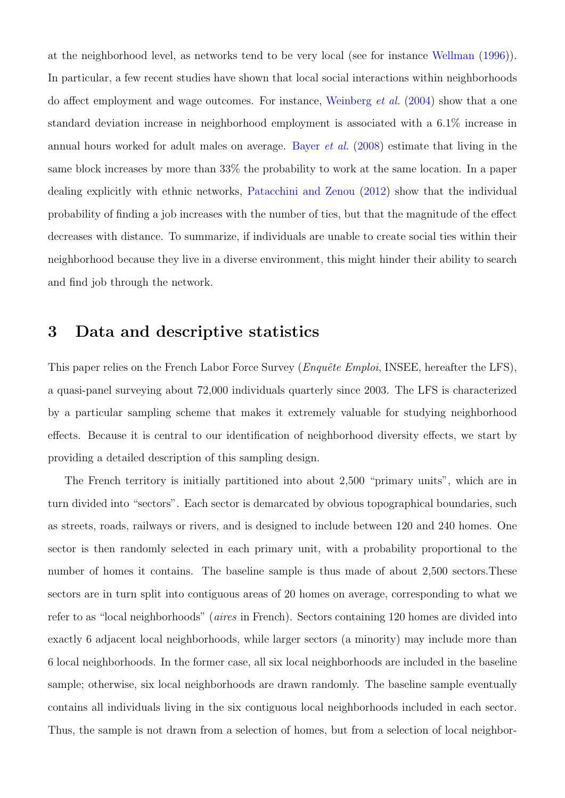at the neighborhood level, as networks tend to be very local (see for instance [Wellman](#page-40-3) [\(1996\)](#page-40-3)). In particular, a few recent studies have shown that local social interactions within neighborhoods do affect employment and wage outcomes. For instance, [Weinberg](#page-40-4) et al. [\(2004\)](#page-40-4) show that a one standard deviation increase in neighborhood employment is associated with a 6.1% increase in annual hours worked for adult males on average. [Bayer](#page-38-0) et al. [\(2008\)](#page-38-0) estimate that living in the same block increases by more than 33% the probability to work at the same location. In a paper dealing explicitly with ethnic networks, [Patacchini and Zenou](#page-39-16) [\(2012\)](#page-39-16) show that the individual probability of finding a job increases with the number of ties, but that the magnitude of the effect decreases with distance. To summarize, if individuals are unable to create social ties within their neighborhood because they live in a diverse environment, this might hinder their ability to search and find job through the network.

### <span id="page-12-0"></span>3 Data and descriptive statistics

This paper relies on the French Labor Force Survey (*Enquête Emploi*, INSEE, hereafter the LFS), a quasi-panel surveying about 72,000 individuals quarterly since 2003. The LFS is characterized by a particular sampling scheme that makes it extremely valuable for studying neighborhood effects. Because it is central to our identification of neighborhood diversity effects, we start by providing a detailed description of this sampling design.

The French territory is initially partitioned into about 2,500 "primary units", which are in turn divided into "sectors". Each sector is demarcated by obvious topographical boundaries, such as streets, roads, railways or rivers, and is designed to include between 120 and 240 homes. One sector is then randomly selected in each primary unit, with a probability proportional to the number of homes it contains. The baseline sample is thus made of about 2,500 sectors.These sectors are in turn split into contiguous areas of 20 homes on average, corresponding to what we refer to as "local neighborhoods" (aires in French). Sectors containing 120 homes are divided into exactly 6 adjacent local neighborhoods, while larger sectors (a minority) may include more than 6 local neighborhoods. In the former case, all six local neighborhoods are included in the baseline sample; otherwise, six local neighborhoods are drawn randomly. The baseline sample eventually contains all individuals living in the six contiguous local neighborhoods included in each sector. Thus, the sample is not drawn from a selection of homes, but from a selection of local neighbor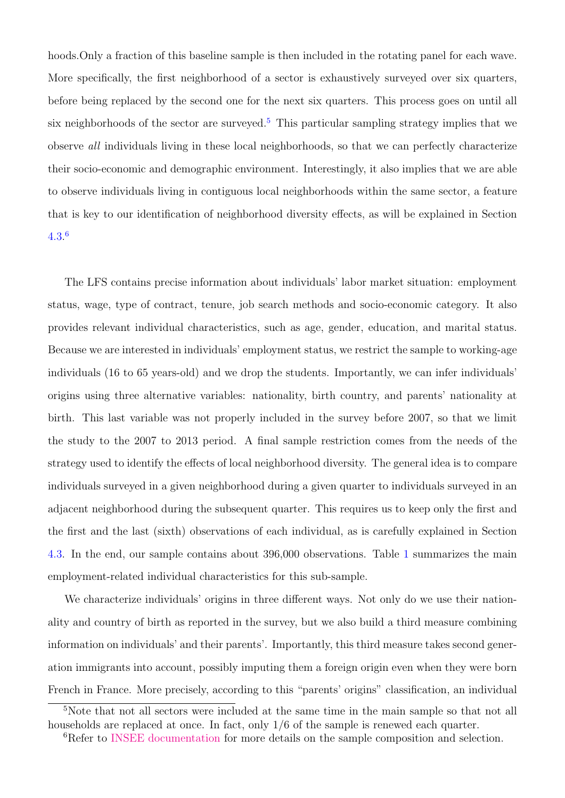hoods.Only a fraction of this baseline sample is then included in the rotating panel for each wave. More specifically, the first neighborhood of a sector is exhaustively surveyed over six quarters, before being replaced by the second one for the next six quarters. This process goes on until all six neighborhoods of the sector are surveyed.<sup>[5](#page-2-0)</sup> This particular sampling strategy implies that we observe all individuals living in these local neighborhoods, so that we can perfectly characterize their socio-economic and demographic environment. Interestingly, it also implies that we are able to observe individuals living in contiguous local neighborhoods within the same sector, a feature that is key to our identification of neighborhood diversity effects, as will be explained in Section  $4.3.^6$  $4.3.^6$  $4.3.^6$ 

The LFS contains precise information about individuals' labor market situation: employment status, wage, type of contract, tenure, job search methods and socio-economic category. It also provides relevant individual characteristics, such as age, gender, education, and marital status. Because we are interested in individuals' employment status, we restrict the sample to working-age individuals (16 to 65 years-old) and we drop the students. Importantly, we can infer individuals' origins using three alternative variables: nationality, birth country, and parents' nationality at birth. This last variable was not properly included in the survey before 2007, so that we limit the study to the 2007 to 2013 period. A final sample restriction comes from the needs of the strategy used to identify the effects of local neighborhood diversity. The general idea is to compare individuals surveyed in a given neighborhood during a given quarter to individuals surveyed in an adjacent neighborhood during the subsequent quarter. This requires us to keep only the first and the first and the last (sixth) observations of each individual, as is carefully explained in Section [4.3.](#page-22-0) In the end, our sample contains about 396,000 observations. Table [1](#page-30-0) summarizes the main employment-related individual characteristics for this sub-sample.

We characterize individuals' origins in three different ways. Not only do we use their nationality and country of birth as reported in the survey, but we also build a third measure combining information on individuals' and their parents'. Importantly, this third measure takes second generation immigrants into account, possibly imputing them a foreign origin even when they were born French in France. More precisely, according to this "parents' origins" classification, an individual

<sup>5</sup>Note that not all sectors were included at the same time in the main sample so that not all households are replaced at once. In fact, only  $1/6$  of the sample is renewed each quarter.

<sup>&</sup>lt;sup>6</sup>Refer to [INSEE documentation](http://www.insee.fr/fr/methodes/sources/pdf/methodologie_eeencontinu_anglais.pdf) for more details on the sample composition and selection.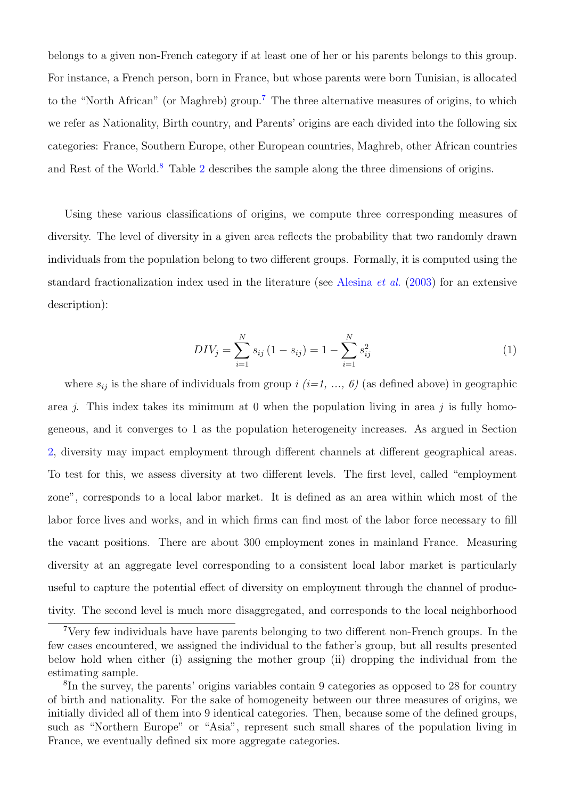belongs to a given non-French category if at least one of her or his parents belongs to this group. For instance, a French person, born in France, but whose parents were born Tunisian, is allocated to the "North African" (or Maghreb) group.<sup>[7](#page-2-0)</sup> The three alternative measures of origins, to which we refer as Nationality, Birth country, and Parents' origins are each divided into the following six categories: France, Southern Europe, other European countries, Maghreb, other African countries and Rest of the World.<sup>[8](#page-2-0)</sup> Table [2](#page-30-1) describes the sample along the three dimensions of origins.

Using these various classifications of origins, we compute three corresponding measures of diversity. The level of diversity in a given area reflects the probability that two randomly drawn individuals from the population belong to two different groups. Formally, it is computed using the standard fractionalization index used in the literature (see [Alesina](#page-38-16) et al. [\(2003\)](#page-38-16) for an extensive description):

$$
DIV_j = \sum_{i=1}^{N} s_{ij} (1 - s_{ij}) = 1 - \sum_{i=1}^{N} s_{ij}^2
$$
 (1)

where  $s_{ij}$  is the share of individuals from group i (i=1, ..., 6) (as defined above) in geographic area *i*. This index takes its minimum at 0 when the population living in area *i* is fully homogeneous, and it converges to 1 as the population heterogeneity increases. As argued in Section [2,](#page-9-0) diversity may impact employment through different channels at different geographical areas. To test for this, we assess diversity at two different levels. The first level, called "employment zone", corresponds to a local labor market. It is defined as an area within which most of the labor force lives and works, and in which firms can find most of the labor force necessary to fill the vacant positions. There are about 300 employment zones in mainland France. Measuring diversity at an aggregate level corresponding to a consistent local labor market is particularly useful to capture the potential effect of diversity on employment through the channel of productivity. The second level is much more disaggregated, and corresponds to the local neighborhood

<sup>7</sup>Very few individuals have have parents belonging to two different non-French groups. In the few cases encountered, we assigned the individual to the father's group, but all results presented below hold when either (i) assigning the mother group (ii) dropping the individual from the estimating sample.

<sup>8</sup> In the survey, the parents' origins variables contain 9 categories as opposed to 28 for country of birth and nationality. For the sake of homogeneity between our three measures of origins, we initially divided all of them into 9 identical categories. Then, because some of the defined groups, such as "Northern Europe" or "Asia", represent such small shares of the population living in France, we eventually defined six more aggregate categories.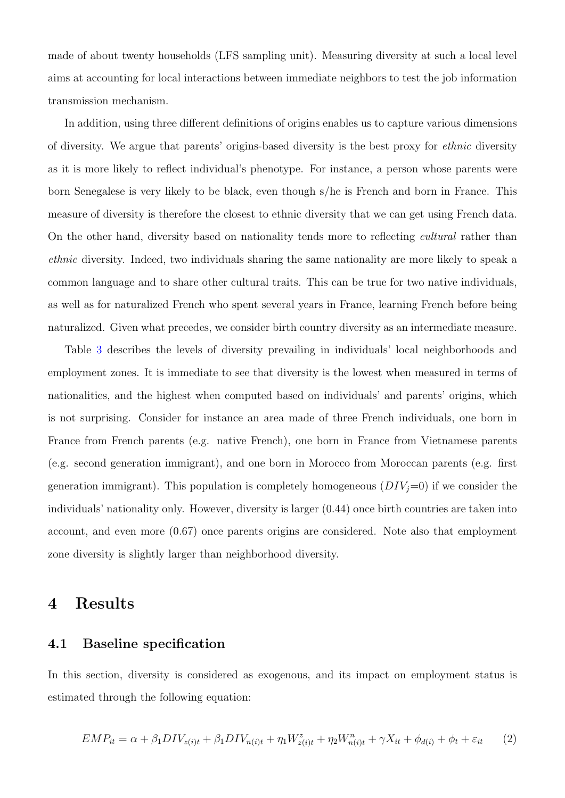made of about twenty households (LFS sampling unit). Measuring diversity at such a local level aims at accounting for local interactions between immediate neighbors to test the job information transmission mechanism.

In addition, using three different definitions of origins enables us to capture various dimensions of diversity. We argue that parents' origins-based diversity is the best proxy for ethnic diversity as it is more likely to reflect individual's phenotype. For instance, a person whose parents were born Senegalese is very likely to be black, even though s/he is French and born in France. This measure of diversity is therefore the closest to ethnic diversity that we can get using French data. On the other hand, diversity based on nationality tends more to reflecting *cultural* rather than ethnic diversity. Indeed, two individuals sharing the same nationality are more likely to speak a common language and to share other cultural traits. This can be true for two native individuals, as well as for naturalized French who spent several years in France, learning French before being naturalized. Given what precedes, we consider birth country diversity as an intermediate measure.

Table [3](#page-30-2) describes the levels of diversity prevailing in individuals' local neighborhoods and employment zones. It is immediate to see that diversity is the lowest when measured in terms of nationalities, and the highest when computed based on individuals' and parents' origins, which is not surprising. Consider for instance an area made of three French individuals, one born in France from French parents (e.g. native French), one born in France from Vietnamese parents (e.g. second generation immigrant), and one born in Morocco from Moroccan parents (e.g. first generation immigrant). This population is completely homogeneous  $(DIV<sub>i</sub>=0)$  if we consider the individuals' nationality only. However, diversity is larger (0.44) once birth countries are taken into account, and even more (0.67) once parents origins are considered. Note also that employment zone diversity is slightly larger than neighborhood diversity.

### <span id="page-15-0"></span>4 Results

### <span id="page-15-1"></span>4.1 Baseline specification

In this section, diversity is considered as exogenous, and its impact on employment status is estimated through the following equation:

$$
EMP_{it} = \alpha + \beta_1 DIV_{z(i)t} + \beta_1 DIV_{n(i)t} + \eta_1 W_{z(i)t}^z + \eta_2 W_{n(i)t}^n + \gamma X_{it} + \phi_{d(i)} + \phi_t + \varepsilon_{it} \tag{2}
$$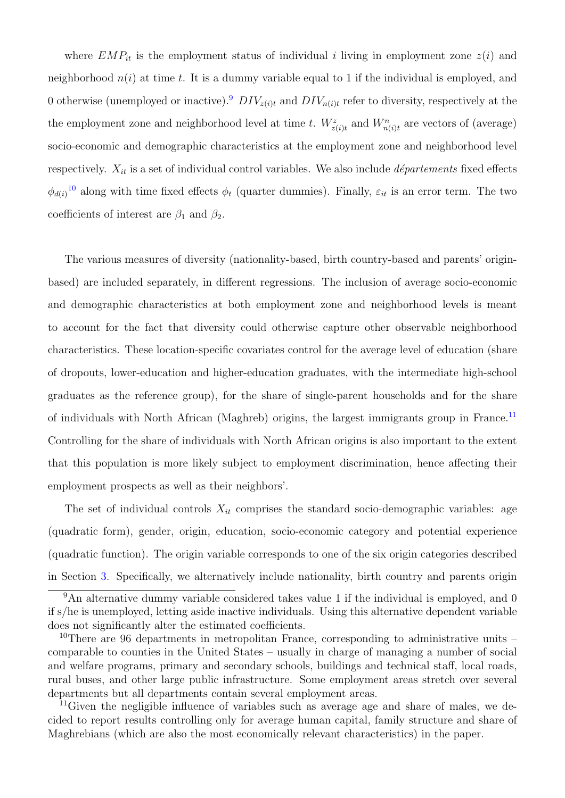where  $EMP_{it}$  is the employment status of individual i living in employment zone  $z(i)$  and neighborhood  $n(i)$  at time t. It is a dummy variable equal to 1 if the individual is employed, and 0 otherwise (unemployed or inactive).<sup>[9](#page-2-0)</sup>  $DIV_{z(i)t}$  and  $DIV_{n(i)t}$  refer to diversity, respectively at the the employment zone and neighborhood level at time t.  $W_{z(i)t}^z$  and  $W_{n(i)t}^n$  are vectors of (average) socio-economic and demographic characteristics at the employment zone and neighborhood level respectively.  $X_{it}$  is a set of individual control variables. We also include *départements* fixed effects  $\phi_{d(i)}$ <sup>[10](#page-2-0)</sup> along with time fixed effects  $\phi_t$  (quarter dummies). Finally,  $\varepsilon_{it}$  is an error term. The two coefficients of interest are  $\beta_1$  and  $\beta_2$ .

The various measures of diversity (nationality-based, birth country-based and parents' originbased) are included separately, in different regressions. The inclusion of average socio-economic and demographic characteristics at both employment zone and neighborhood levels is meant to account for the fact that diversity could otherwise capture other observable neighborhood characteristics. These location-specific covariates control for the average level of education (share of dropouts, lower-education and higher-education graduates, with the intermediate high-school graduates as the reference group), for the share of single-parent households and for the share of individuals with North African (Maghreb) origins, the largest immigrants group in France.<sup>[11](#page-2-0)</sup> Controlling for the share of individuals with North African origins is also important to the extent that this population is more likely subject to employment discrimination, hence affecting their employment prospects as well as their neighbors'.

The set of individual controls  $X_{it}$  comprises the standard socio-demographic variables: age (quadratic form), gender, origin, education, socio-economic category and potential experience (quadratic function). The origin variable corresponds to one of the six origin categories described in Section [3.](#page-12-0) Specifically, we alternatively include nationality, birth country and parents origin

 $9<sup>9</sup>$ An alternative dummy variable considered takes value 1 if the individual is employed, and 0 if s/he is unemployed, letting aside inactive individuals. Using this alternative dependent variable does not significantly alter the estimated coefficients.

<sup>&</sup>lt;sup>10</sup>There are 96 departments in metropolitan France, corresponding to administrative units – comparable to counties in the United States – usually in charge of managing a number of social and welfare programs, primary and secondary schools, buildings and technical staff, local roads, rural buses, and other large public infrastructure. Some employment areas stretch over several departments but all departments contain several employment areas.

<sup>&</sup>lt;sup>11</sup>Given the negligible influence of variables such as average age and share of males, we decided to report results controlling only for average human capital, family structure and share of Maghrebians (which are also the most economically relevant characteristics) in the paper.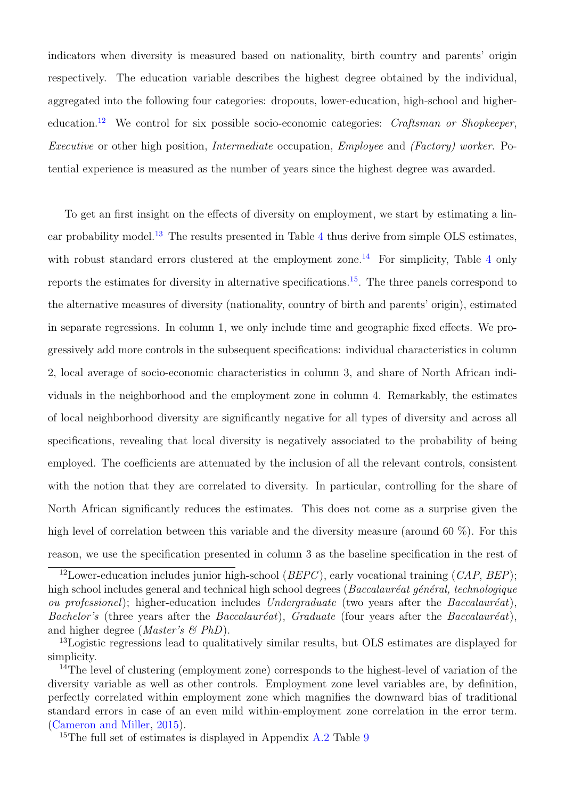indicators when diversity is measured based on nationality, birth country and parents' origin respectively. The education variable describes the highest degree obtained by the individual, aggregated into the following four categories: dropouts, lower-education, high-school and higher-education.<sup>[12](#page-2-0)</sup> We control for six possible socio-economic categories: *Craftsman or Shopkeeper*, Executive or other high position, Intermediate occupation, Employee and (Factory) worker. Potential experience is measured as the number of years since the highest degree was awarded.

To get an first insight on the effects of diversity on employment, we start by estimating a lin-ear probability model.<sup>[13](#page-2-0)</sup> The results presented in Table [4](#page-31-0) thus derive from simple OLS estimates, with robust standard errors clustered at the employment zone.<sup>[14](#page-2-0)</sup> For simplicity, Table [4](#page-31-0) only reports the estimates for diversity in alternative specifications.[15](#page-2-0). The three panels correspond to the alternative measures of diversity (nationality, country of birth and parents' origin), estimated in separate regressions. In column 1, we only include time and geographic fixed effects. We progressively add more controls in the subsequent specifications: individual characteristics in column 2, local average of socio-economic characteristics in column 3, and share of North African individuals in the neighborhood and the employment zone in column 4. Remarkably, the estimates of local neighborhood diversity are significantly negative for all types of diversity and across all specifications, revealing that local diversity is negatively associated to the probability of being employed. The coefficients are attenuated by the inclusion of all the relevant controls, consistent with the notion that they are correlated to diversity. In particular, controlling for the share of North African significantly reduces the estimates. This does not come as a surprise given the high level of correlation between this variable and the diversity measure (around 60 %). For this reason, we use the specification presented in column 3 as the baseline specification in the rest of

<sup>&</sup>lt;sup>12</sup>Lower-education includes junior high-school (*BEPC*), early vocational training (*CAP*, *BEP*); high school includes general and technical high school degrees ( $Baccalauréat général, technologique$ ) *ou professionel*); higher-education includes *Undergraduate* (two years after the *Baccalauréat*), Bachelor's (three years after the Baccalauréat), Graduate (four years after the Baccalauréat), and higher degree (*Master's*  $\mathcal{B}$  *PhD*).

<sup>&</sup>lt;sup>13</sup>Logistic regressions lead to qualitatively similar results, but OLS estimates are displayed for simplicity.

<sup>&</sup>lt;sup>14</sup>The level of clustering (employment zone) corresponds to the highest-level of variation of the diversity variable as well as other controls. Employment zone level variables are, by definition, perfectly correlated within employment zone which magnifies the downward bias of traditional standard errors in case of an even mild within-employment zone correlation in the error term. [\(Cameron and Miller,](#page-38-17) [2015\)](#page-38-17).

<sup>&</sup>lt;sup>15</sup>The full set of estimates is displayed in Appendix  $A.2$  Table [9](#page-36-1)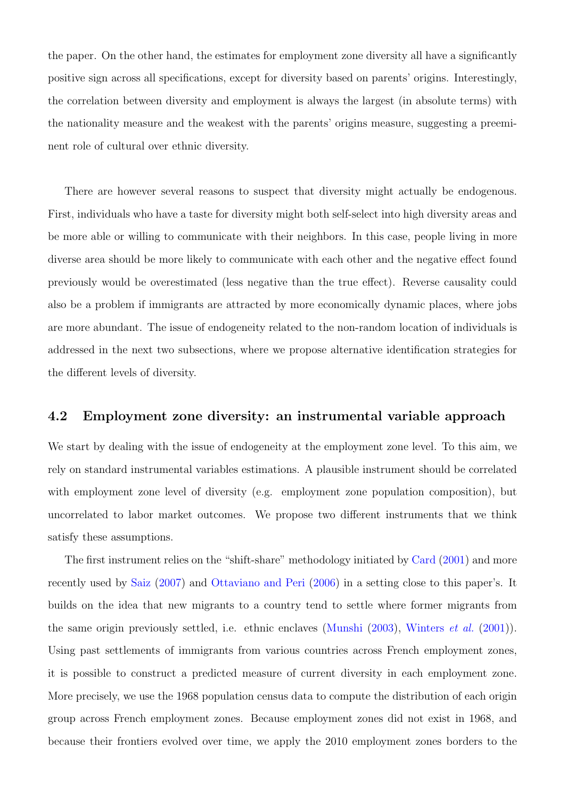the paper. On the other hand, the estimates for employment zone diversity all have a significantly positive sign across all specifications, except for diversity based on parents' origins. Interestingly, the correlation between diversity and employment is always the largest (in absolute terms) with the nationality measure and the weakest with the parents' origins measure, suggesting a preeminent role of cultural over ethnic diversity.

There are however several reasons to suspect that diversity might actually be endogenous. First, individuals who have a taste for diversity might both self-select into high diversity areas and be more able or willing to communicate with their neighbors. In this case, people living in more diverse area should be more likely to communicate with each other and the negative effect found previously would be overestimated (less negative than the true effect). Reverse causality could also be a problem if immigrants are attracted by more economically dynamic places, where jobs are more abundant. The issue of endogeneity related to the non-random location of individuals is addressed in the next two subsections, where we propose alternative identification strategies for the different levels of diversity.

#### <span id="page-18-0"></span>4.2 Employment zone diversity: an instrumental variable approach

We start by dealing with the issue of endogeneity at the employment zone level. To this aim, we rely on standard instrumental variables estimations. A plausible instrument should be correlated with employment zone level of diversity (e.g. employment zone population composition), but uncorrelated to labor market outcomes. We propose two different instruments that we think satisfy these assumptions.

The first instrument relies on the "shift-share" methodology initiated by [Card](#page-38-5) [\(2001\)](#page-38-5) and more recently used by [Saiz](#page-40-1) [\(2007\)](#page-40-1) and [Ottaviano and Peri](#page-39-1) [\(2006\)](#page-39-1) in a setting close to this paper's. It builds on the idea that new migrants to a country tend to settle where former migrants from the same origin previously settled, i.e. ethnic enclaves [\(Munshi](#page-39-17) [\(2003\)](#page-39-17), [Winters](#page-40-5) et al. [\(2001\)](#page-40-5)). Using past settlements of immigrants from various countries across French employment zones, it is possible to construct a predicted measure of current diversity in each employment zone. More precisely, we use the 1968 population census data to compute the distribution of each origin group across French employment zones. Because employment zones did not exist in 1968, and because their frontiers evolved over time, we apply the 2010 employment zones borders to the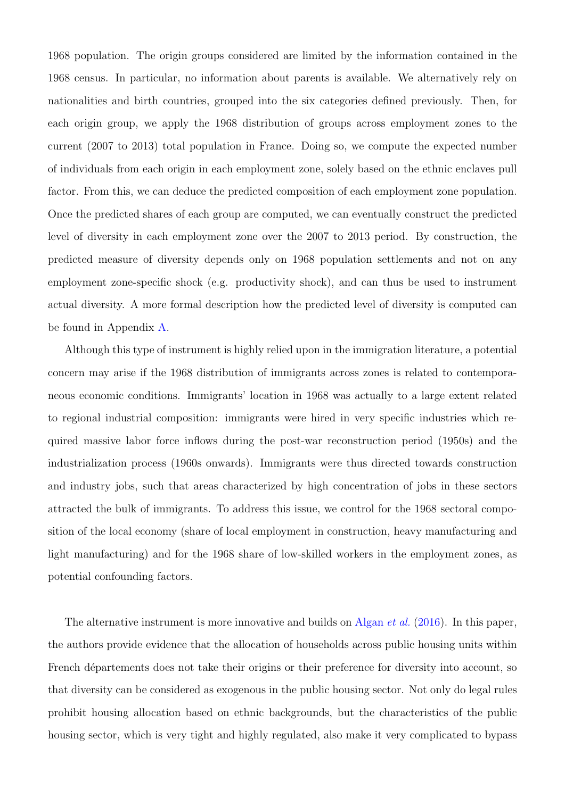1968 population. The origin groups considered are limited by the information contained in the 1968 census. In particular, no information about parents is available. We alternatively rely on nationalities and birth countries, grouped into the six categories defined previously. Then, for each origin group, we apply the 1968 distribution of groups across employment zones to the current (2007 to 2013) total population in France. Doing so, we compute the expected number of individuals from each origin in each employment zone, solely based on the ethnic enclaves pull factor. From this, we can deduce the predicted composition of each employment zone population. Once the predicted shares of each group are computed, we can eventually construct the predicted level of diversity in each employment zone over the 2007 to 2013 period. By construction, the predicted measure of diversity depends only on 1968 population settlements and not on any employment zone-specific shock (e.g. productivity shock), and can thus be used to instrument actual diversity. A more formal description how the predicted level of diversity is computed can be found in Appendix [A.](#page-35-0)

Although this type of instrument is highly relied upon in the immigration literature, a potential concern may arise if the 1968 distribution of immigrants across zones is related to contemporaneous economic conditions. Immigrants' location in 1968 was actually to a large extent related to regional industrial composition: immigrants were hired in very specific industries which required massive labor force inflows during the post-war reconstruction period (1950s) and the industrialization process (1960s onwards). Immigrants were thus directed towards construction and industry jobs, such that areas characterized by high concentration of jobs in these sectors attracted the bulk of immigrants. To address this issue, we control for the 1968 sectoral composition of the local economy (share of local employment in construction, heavy manufacturing and light manufacturing) and for the 1968 share of low-skilled workers in the employment zones, as potential confounding factors.

The alternative instrument is more innovative and builds on [Algan](#page-38-4) *et al.* [\(2016\)](#page-38-4). In this paper, the authors provide evidence that the allocation of households across public housing units within French départements does not take their origins or their preference for diversity into account, so that diversity can be considered as exogenous in the public housing sector. Not only do legal rules prohibit housing allocation based on ethnic backgrounds, but the characteristics of the public housing sector, which is very tight and highly regulated, also make it very complicated to bypass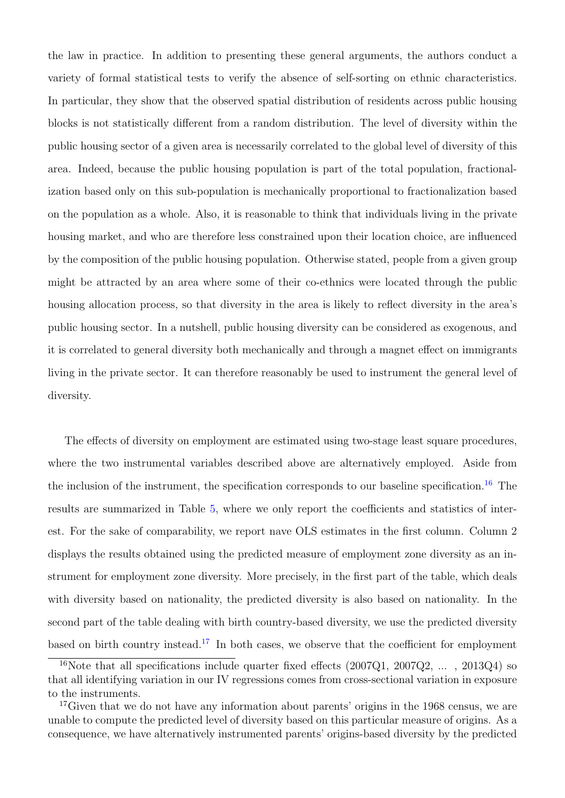the law in practice. In addition to presenting these general arguments, the authors conduct a variety of formal statistical tests to verify the absence of self-sorting on ethnic characteristics. In particular, they show that the observed spatial distribution of residents across public housing blocks is not statistically different from a random distribution. The level of diversity within the public housing sector of a given area is necessarily correlated to the global level of diversity of this area. Indeed, because the public housing population is part of the total population, fractionalization based only on this sub-population is mechanically proportional to fractionalization based on the population as a whole. Also, it is reasonable to think that individuals living in the private housing market, and who are therefore less constrained upon their location choice, are influenced by the composition of the public housing population. Otherwise stated, people from a given group might be attracted by an area where some of their co-ethnics were located through the public housing allocation process, so that diversity in the area is likely to reflect diversity in the area's public housing sector. In a nutshell, public housing diversity can be considered as exogenous, and it is correlated to general diversity both mechanically and through a magnet effect on immigrants living in the private sector. It can therefore reasonably be used to instrument the general level of diversity.

The effects of diversity on employment are estimated using two-stage least square procedures, where the two instrumental variables described above are alternatively employed. Aside from the inclusion of the instrument, the specification corresponds to our baseline specification.<sup>[16](#page-2-0)</sup> The results are summarized in Table [5,](#page-32-0) where we only report the coefficients and statistics of interest. For the sake of comparability, we report nave OLS estimates in the first column. Column 2 displays the results obtained using the predicted measure of employment zone diversity as an instrument for employment zone diversity. More precisely, in the first part of the table, which deals with diversity based on nationality, the predicted diversity is also based on nationality. In the second part of the table dealing with birth country-based diversity, we use the predicted diversity based on birth country instead.<sup>[17](#page-2-0)</sup> In both cases, we observe that the coefficient for employment

<sup>&</sup>lt;sup>16</sup>Note that all specifications include quarter fixed effects  $(2007Q1, 2007Q2, \ldots, 2013Q4)$  so that all identifying variation in our IV regressions comes from cross-sectional variation in exposure to the instruments.

<sup>&</sup>lt;sup>17</sup>Given that we do not have any information about parents' origins in the 1968 census, we are unable to compute the predicted level of diversity based on this particular measure of origins. As a consequence, we have alternatively instrumented parents' origins-based diversity by the predicted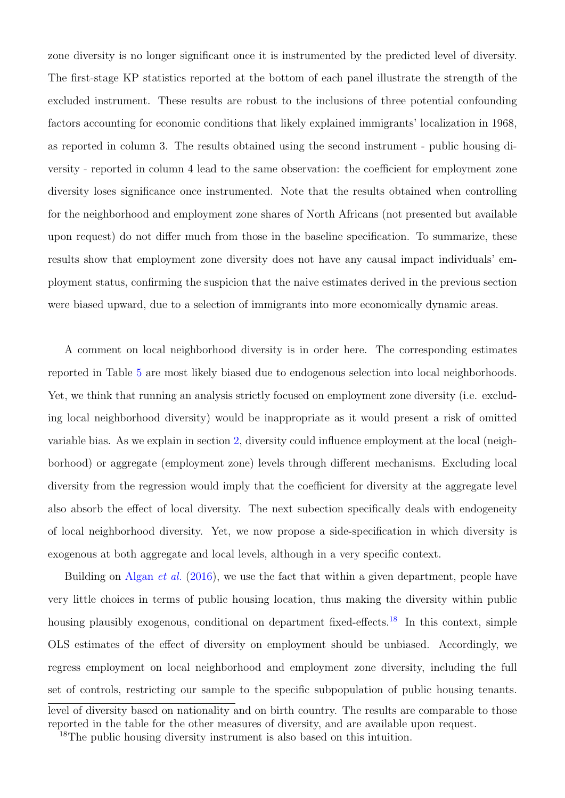zone diversity is no longer significant once it is instrumented by the predicted level of diversity. The first-stage KP statistics reported at the bottom of each panel illustrate the strength of the excluded instrument. These results are robust to the inclusions of three potential confounding factors accounting for economic conditions that likely explained immigrants' localization in 1968, as reported in column 3. The results obtained using the second instrument - public housing diversity - reported in column 4 lead to the same observation: the coefficient for employment zone diversity loses significance once instrumented. Note that the results obtained when controlling for the neighborhood and employment zone shares of North Africans (not presented but available upon request) do not differ much from those in the baseline specification. To summarize, these results show that employment zone diversity does not have any causal impact individuals' employment status, confirming the suspicion that the naive estimates derived in the previous section were biased upward, due to a selection of immigrants into more economically dynamic areas.

A comment on local neighborhood diversity is in order here. The corresponding estimates reported in Table [5](#page-32-0) are most likely biased due to endogenous selection into local neighborhoods. Yet, we think that running an analysis strictly focused on employment zone diversity (i.e. excluding local neighborhood diversity) would be inappropriate as it would present a risk of omitted variable bias. As we explain in section [2,](#page-9-0) diversity could influence employment at the local (neighborhood) or aggregate (employment zone) levels through different mechanisms. Excluding local diversity from the regression would imply that the coefficient for diversity at the aggregate level also absorb the effect of local diversity. The next subection specifically deals with endogeneity of local neighborhood diversity. Yet, we now propose a side-specification in which diversity is exogenous at both aggregate and local levels, although in a very specific context.

Building on [Algan](#page-38-4) *et al.* [\(2016\)](#page-38-4), we use the fact that within a given department, people have very little choices in terms of public housing location, thus making the diversity within public housing plausibly exogenous, conditional on department fixed-effects.<sup>[18](#page-2-0)</sup> In this context, simple OLS estimates of the effect of diversity on employment should be unbiased. Accordingly, we regress employment on local neighborhood and employment zone diversity, including the full set of controls, restricting our sample to the specific subpopulation of public housing tenants. level of diversity based on nationality and on birth country. The results are comparable to those reported in the table for the other measures of diversity, and are available upon request.

<sup>18</sup>The public housing diversity instrument is also based on this intuition.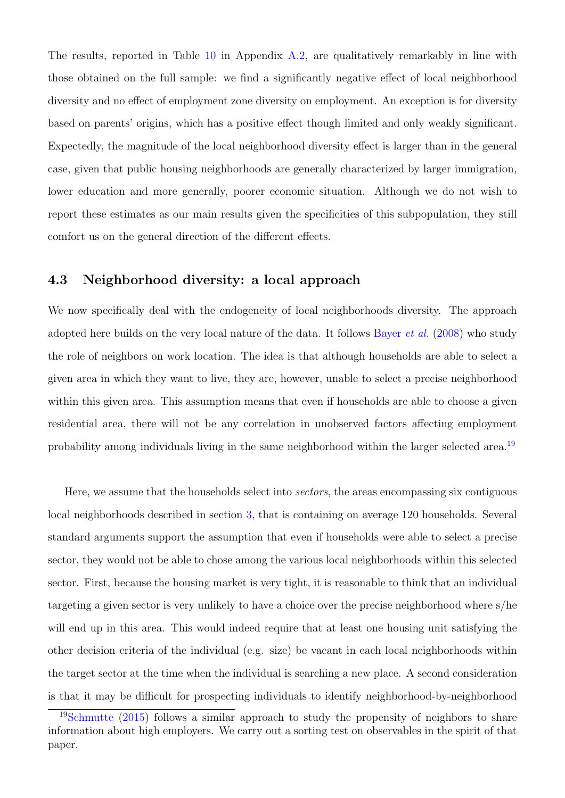The results, reported in Table [10](#page-37-0) in Appendix [A.2,](#page-36-0) are qualitatively remarkably in line with those obtained on the full sample: we find a significantly negative effect of local neighborhood diversity and no effect of employment zone diversity on employment. An exception is for diversity based on parents' origins, which has a positive effect though limited and only weakly significant. Expectedly, the magnitude of the local neighborhood diversity effect is larger than in the general case, given that public housing neighborhoods are generally characterized by larger immigration, lower education and more generally, poorer economic situation. Although we do not wish to report these estimates as our main results given the specificities of this subpopulation, they still comfort us on the general direction of the different effects.

### <span id="page-22-0"></span>4.3 Neighborhood diversity: a local approach

We now specifically deal with the endogeneity of local neighborhoods diversity. The approach adopted here builds on the very local nature of the data. It follows [Bayer](#page-38-0) et al. [\(2008\)](#page-38-0) who study the role of neighbors on work location. The idea is that although households are able to select a given area in which they want to live, they are, however, unable to select a precise neighborhood within this given area. This assumption means that even if households are able to choose a given residential area, there will not be any correlation in unobserved factors affecting employment probability among individuals living in the same neighborhood within the larger selected area.<sup>[19](#page-2-0)</sup>

Here, we assume that the households select into sectors, the areas encompassing six contiguous local neighborhoods described in section [3,](#page-12-0) that is containing on average 120 households. Several standard arguments support the assumption that even if households were able to select a precise sector, they would not be able to chose among the various local neighborhoods within this selected sector. First, because the housing market is very tight, it is reasonable to think that an individual targeting a given sector is very unlikely to have a choice over the precise neighborhood where s/he will end up in this area. This would indeed require that at least one housing unit satisfying the other decision criteria of the individual (e.g. size) be vacant in each local neighborhoods within the target sector at the time when the individual is searching a new place. A second consideration is that it may be difficult for prospecting individuals to identify neighborhood-by-neighborhood

<sup>19</sup>[Schmutte](#page-40-6) [\(2015\)](#page-40-6) follows a similar approach to study the propensity of neighbors to share information about high employers. We carry out a sorting test on observables in the spirit of that paper.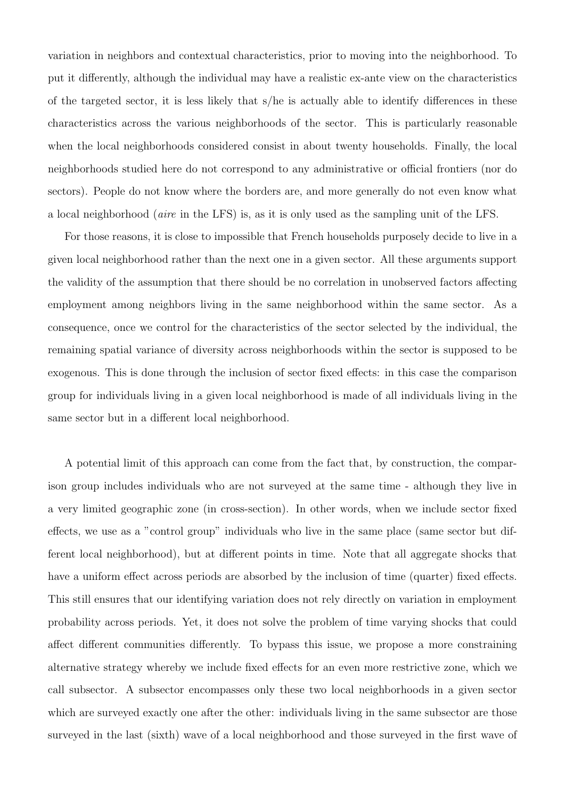variation in neighbors and contextual characteristics, prior to moving into the neighborhood. To put it differently, although the individual may have a realistic ex-ante view on the characteristics of the targeted sector, it is less likely that s/he is actually able to identify differences in these characteristics across the various neighborhoods of the sector. This is particularly reasonable when the local neighborhoods considered consist in about twenty households. Finally, the local neighborhoods studied here do not correspond to any administrative or official frontiers (nor do sectors). People do not know where the borders are, and more generally do not even know what a local neighborhood (aire in the LFS) is, as it is only used as the sampling unit of the LFS.

For those reasons, it is close to impossible that French households purposely decide to live in a given local neighborhood rather than the next one in a given sector. All these arguments support the validity of the assumption that there should be no correlation in unobserved factors affecting employment among neighbors living in the same neighborhood within the same sector. As a consequence, once we control for the characteristics of the sector selected by the individual, the remaining spatial variance of diversity across neighborhoods within the sector is supposed to be exogenous. This is done through the inclusion of sector fixed effects: in this case the comparison group for individuals living in a given local neighborhood is made of all individuals living in the same sector but in a different local neighborhood.

A potential limit of this approach can come from the fact that, by construction, the comparison group includes individuals who are not surveyed at the same time - although they live in a very limited geographic zone (in cross-section). In other words, when we include sector fixed effects, we use as a "control group" individuals who live in the same place (same sector but different local neighborhood), but at different points in time. Note that all aggregate shocks that have a uniform effect across periods are absorbed by the inclusion of time (quarter) fixed effects. This still ensures that our identifying variation does not rely directly on variation in employment probability across periods. Yet, it does not solve the problem of time varying shocks that could affect different communities differently. To bypass this issue, we propose a more constraining alternative strategy whereby we include fixed effects for an even more restrictive zone, which we call subsector. A subsector encompasses only these two local neighborhoods in a given sector which are surveyed exactly one after the other: individuals living in the same subsector are those surveyed in the last (sixth) wave of a local neighborhood and those surveyed in the first wave of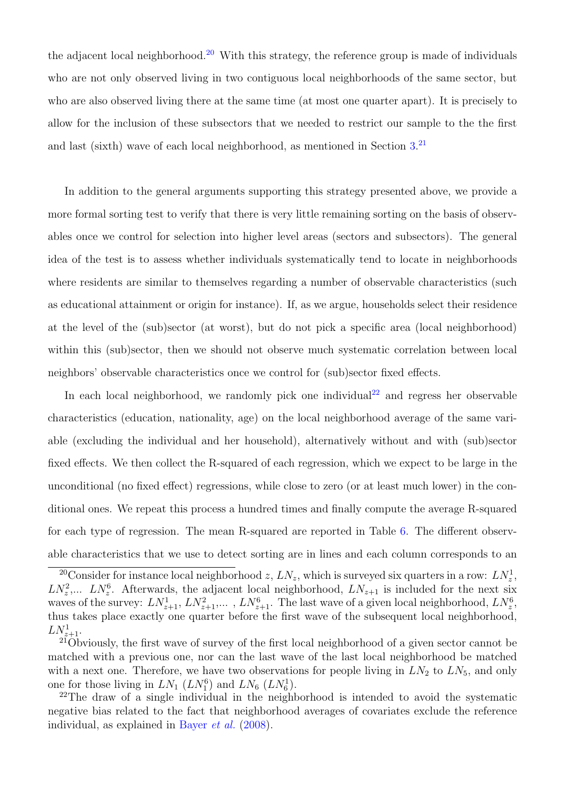the adjacent local neighborhood.<sup>[20](#page-2-0)</sup> With this strategy, the reference group is made of individuals who are not only observed living in two contiguous local neighborhoods of the same sector, but who are also observed living there at the same time (at most one quarter apart). It is precisely to allow for the inclusion of these subsectors that we needed to restrict our sample to the the first and last (sixth) wave of each local neighborhood, as mentioned in Section [3.](#page-12-0) [21](#page-2-0)

In addition to the general arguments supporting this strategy presented above, we provide a more formal sorting test to verify that there is very little remaining sorting on the basis of observables once we control for selection into higher level areas (sectors and subsectors). The general idea of the test is to assess whether individuals systematically tend to locate in neighborhoods where residents are similar to themselves regarding a number of observable characteristics (such as educational attainment or origin for instance). If, as we argue, households select their residence at the level of the (sub)sector (at worst), but do not pick a specific area (local neighborhood) within this (sub)sector, then we should not observe much systematic correlation between local neighbors' observable characteristics once we control for (sub)sector fixed effects.

In each local neighborhood, we randomly pick one individual<sup>[22](#page-2-0)</sup> and regress her observable characteristics (education, nationality, age) on the local neighborhood average of the same variable (excluding the individual and her household), alternatively without and with (sub)sector fixed effects. We then collect the R-squared of each regression, which we expect to be large in the unconditional (no fixed effect) regressions, while close to zero (or at least much lower) in the conditional ones. We repeat this process a hundred times and finally compute the average R-squared for each type of regression. The mean R-squared are reported in Table [6.](#page-33-0) The different observable characteristics that we use to detect sorting are in lines and each column corresponds to an

<sup>&</sup>lt;sup>20</sup>Consider for instance local neighborhood  $z$ ,  $LN_z$ , which is surveyed six quarters in a row:  $LN_z^1$ ,  $LN_z^2,...$   $LN_z^6$ . Afterwards, the adjacent local neighborhood,  $LN_{z+1}$  is included for the next six waves of the survey:  $LN_{z+1}^1$ ,  $LN_{z+1}^2$ ,...,  $LN_{z+1}^6$ . The last wave of a given local neighborhood,  $LN_z^6$ , thus takes place exactly one quarter before the first wave of the subsequent local neighborhood,  $LN^1_{z+1}.$ 

 $21$ Obviously, the first wave of survey of the first local neighborhood of a given sector cannot be matched with a previous one, nor can the last wave of the last local neighborhood be matched with a next one. Therefore, we have two observations for people living in  $LN_2$  to  $LN_5$ , and only one for those living in  $LN_1$   $(LN_1^6)$  and  $LN_6$   $(LN_6^1)$ .

<sup>&</sup>lt;sup>22</sup>The draw of a single individual in the neighborhood is intended to avoid the systematic negative bias related to the fact that neighborhood averages of covariates exclude the reference individual, as explained in [Bayer](#page-38-0) et al. [\(2008\)](#page-38-0).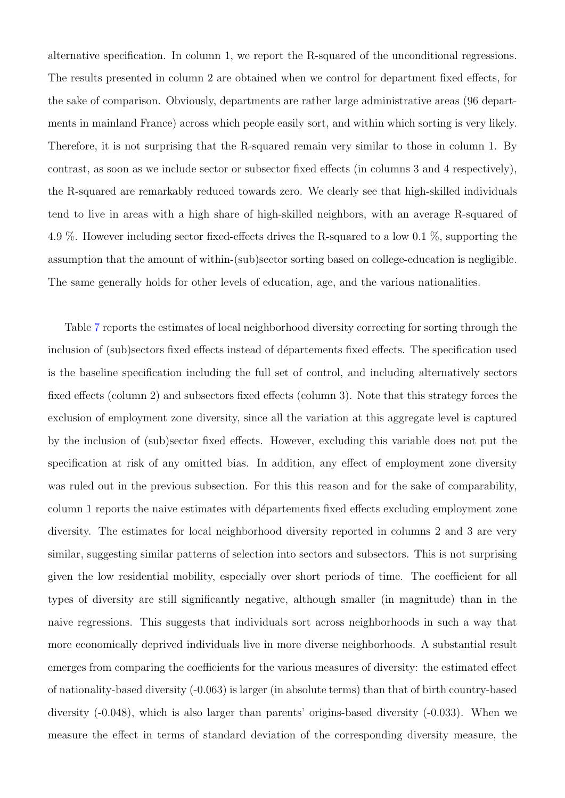alternative specification. In column 1, we report the R-squared of the unconditional regressions. The results presented in column 2 are obtained when we control for department fixed effects, for the sake of comparison. Obviously, departments are rather large administrative areas (96 departments in mainland France) across which people easily sort, and within which sorting is very likely. Therefore, it is not surprising that the R-squared remain very similar to those in column 1. By contrast, as soon as we include sector or subsector fixed effects (in columns 3 and 4 respectively), the R-squared are remarkably reduced towards zero. We clearly see that high-skilled individuals tend to live in areas with a high share of high-skilled neighbors, with an average R-squared of 4.9 %. However including sector fixed-effects drives the R-squared to a low 0.1 %, supporting the assumption that the amount of within-(sub)sector sorting based on college-education is negligible. The same generally holds for other levels of education, age, and the various nationalities.

Table [7](#page-33-1) reports the estimates of local neighborhood diversity correcting for sorting through the inclusion of (sub)sectors fixed effects instead of départements fixed effects. The specification used is the baseline specification including the full set of control, and including alternatively sectors fixed effects (column 2) and subsectors fixed effects (column 3). Note that this strategy forces the exclusion of employment zone diversity, since all the variation at this aggregate level is captured by the inclusion of (sub)sector fixed effects. However, excluding this variable does not put the specification at risk of any omitted bias. In addition, any effect of employment zone diversity was ruled out in the previous subsection. For this this reason and for the sake of comparability, column 1 reports the naive estimates with départements fixed effects excluding employment zone diversity. The estimates for local neighborhood diversity reported in columns 2 and 3 are very similar, suggesting similar patterns of selection into sectors and subsectors. This is not surprising given the low residential mobility, especially over short periods of time. The coefficient for all types of diversity are still significantly negative, although smaller (in magnitude) than in the naive regressions. This suggests that individuals sort across neighborhoods in such a way that more economically deprived individuals live in more diverse neighborhoods. A substantial result emerges from comparing the coefficients for the various measures of diversity: the estimated effect of nationality-based diversity (-0.063) is larger (in absolute terms) than that of birth country-based diversity (-0.048), which is also larger than parents' origins-based diversity (-0.033). When we measure the effect in terms of standard deviation of the corresponding diversity measure, the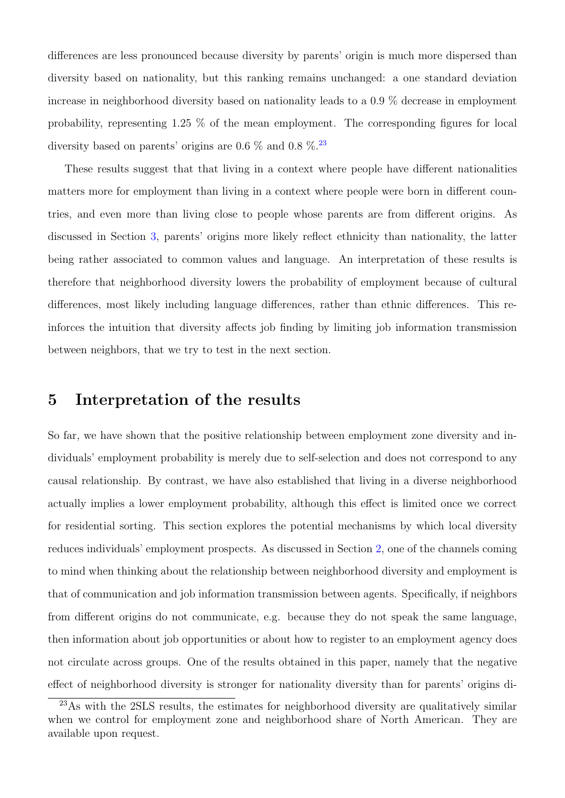differences are less pronounced because diversity by parents' origin is much more dispersed than diversity based on nationality, but this ranking remains unchanged: a one standard deviation increase in neighborhood diversity based on nationality leads to a 0.9 % decrease in employment probability, representing 1.25 % of the mean employment. The corresponding figures for local diversity based on parents' origins are 0.6  $\%$  and 0.8  $\%$ .<sup>[23](#page-2-0)</sup>

These results suggest that that living in a context where people have different nationalities matters more for employment than living in a context where people were born in different countries, and even more than living close to people whose parents are from different origins. As discussed in Section [3,](#page-12-0) parents' origins more likely reflect ethnicity than nationality, the latter being rather associated to common values and language. An interpretation of these results is therefore that neighborhood diversity lowers the probability of employment because of cultural differences, most likely including language differences, rather than ethnic differences. This reinforces the intuition that diversity affects job finding by limiting job information transmission between neighbors, that we try to test in the next section.

### <span id="page-26-0"></span>5 Interpretation of the results

So far, we have shown that the positive relationship between employment zone diversity and individuals' employment probability is merely due to self-selection and does not correspond to any causal relationship. By contrast, we have also established that living in a diverse neighborhood actually implies a lower employment probability, although this effect is limited once we correct for residential sorting. This section explores the potential mechanisms by which local diversity reduces individuals' employment prospects. As discussed in Section [2,](#page-9-0) one of the channels coming to mind when thinking about the relationship between neighborhood diversity and employment is that of communication and job information transmission between agents. Specifically, if neighbors from different origins do not communicate, e.g. because they do not speak the same language, then information about job opportunities or about how to register to an employment agency does not circulate across groups. One of the results obtained in this paper, namely that the negative effect of neighborhood diversity is stronger for nationality diversity than for parents' origins di-

<sup>&</sup>lt;sup>23</sup>As with the 2SLS results, the estimates for neighborhood diversity are qualitatively similar when we control for employment zone and neighborhood share of North American. They are available upon request.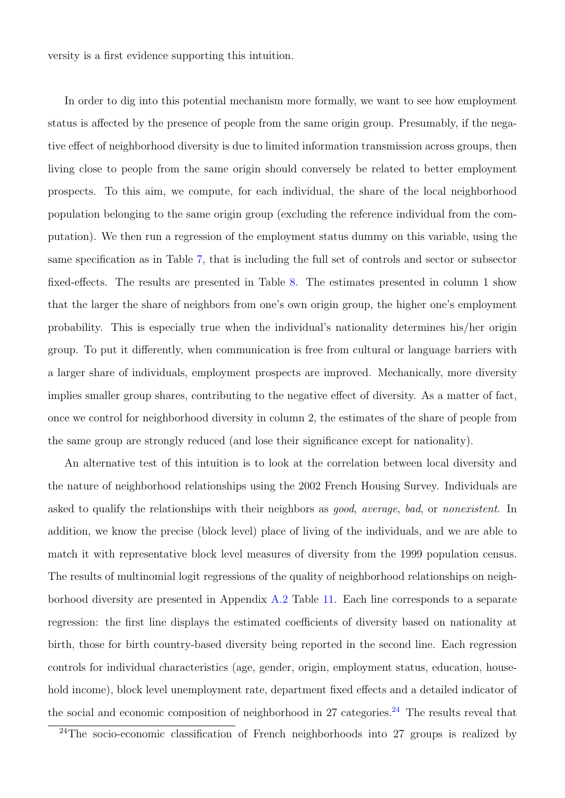versity is a first evidence supporting this intuition.

In order to dig into this potential mechanism more formally, we want to see how employment status is affected by the presence of people from the same origin group. Presumably, if the negative effect of neighborhood diversity is due to limited information transmission across groups, then living close to people from the same origin should conversely be related to better employment prospects. To this aim, we compute, for each individual, the share of the local neighborhood population belonging to the same origin group (excluding the reference individual from the computation). We then run a regression of the employment status dummy on this variable, using the same specification as in Table [7,](#page-33-1) that is including the full set of controls and sector or subsector fixed-effects. The results are presented in Table [8.](#page-34-0) The estimates presented in column 1 show that the larger the share of neighbors from one's own origin group, the higher one's employment probability. This is especially true when the individual's nationality determines his/her origin group. To put it differently, when communication is free from cultural or language barriers with a larger share of individuals, employment prospects are improved. Mechanically, more diversity implies smaller group shares, contributing to the negative effect of diversity. As a matter of fact, once we control for neighborhood diversity in column 2, the estimates of the share of people from the same group are strongly reduced (and lose their significance except for nationality).

An alternative test of this intuition is to look at the correlation between local diversity and the nature of neighborhood relationships using the 2002 French Housing Survey. Individuals are asked to qualify the relationships with their neighbors as good, average, bad, or nonexistent. In addition, we know the precise (block level) place of living of the individuals, and we are able to match it with representative block level measures of diversity from the 1999 population census. The results of multinomial logit regressions of the quality of neighborhood relationships on neighborhood diversity are presented in Appendix [A.2](#page-36-0) Table [11.](#page-37-1) Each line corresponds to a separate regression: the first line displays the estimated coefficients of diversity based on nationality at birth, those for birth country-based diversity being reported in the second line. Each regression controls for individual characteristics (age, gender, origin, employment status, education, household income), block level unemployment rate, department fixed effects and a detailed indicator of the social and economic composition of neighborhood in 27 categories.<sup>[24](#page-2-0)</sup> The results reveal that

 $24$ The socio-economic classification of French neighborhoods into 27 groups is realized by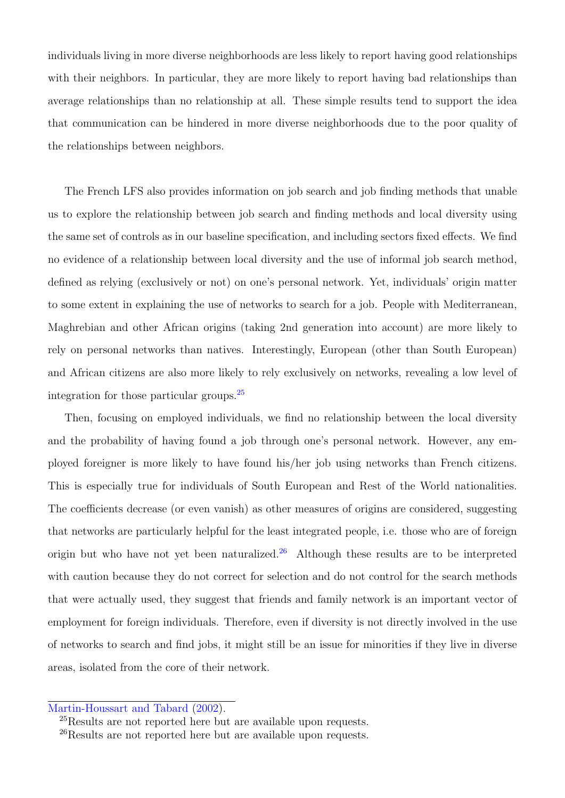individuals living in more diverse neighborhoods are less likely to report having good relationships with their neighbors. In particular, they are more likely to report having bad relationships than average relationships than no relationship at all. These simple results tend to support the idea that communication can be hindered in more diverse neighborhoods due to the poor quality of the relationships between neighbors.

The French LFS also provides information on job search and job finding methods that unable us to explore the relationship between job search and finding methods and local diversity using the same set of controls as in our baseline specification, and including sectors fixed effects. We find no evidence of a relationship between local diversity and the use of informal job search method, defined as relying (exclusively or not) on one's personal network. Yet, individuals' origin matter to some extent in explaining the use of networks to search for a job. People with Mediterranean, Maghrebian and other African origins (taking 2nd generation into account) are more likely to rely on personal networks than natives. Interestingly, European (other than South European) and African citizens are also more likely to rely exclusively on networks, revealing a low level of integration for those particular groups.[25](#page-2-0)

Then, focusing on employed individuals, we find no relationship between the local diversity and the probability of having found a job through one's personal network. However, any employed foreigner is more likely to have found his/her job using networks than French citizens. This is especially true for individuals of South European and Rest of the World nationalities. The coefficients decrease (or even vanish) as other measures of origins are considered, suggesting that networks are particularly helpful for the least integrated people, i.e. those who are of foreign origin but who have not yet been naturalized.<sup>[26](#page-2-0)</sup> Although these results are to be interpreted with caution because they do not correct for selection and do not control for the search methods that were actually used, they suggest that friends and family network is an important vector of employment for foreign individuals. Therefore, even if diversity is not directly involved in the use of networks to search and find jobs, it might still be an issue for minorities if they live in diverse areas, isolated from the core of their network.

[Martin-Houssart and Tabard](#page-39-18) [\(2002\)](#page-39-18).

<sup>25</sup>Results are not reported here but are available upon requests.

<sup>26</sup>Results are not reported here but are available upon requests.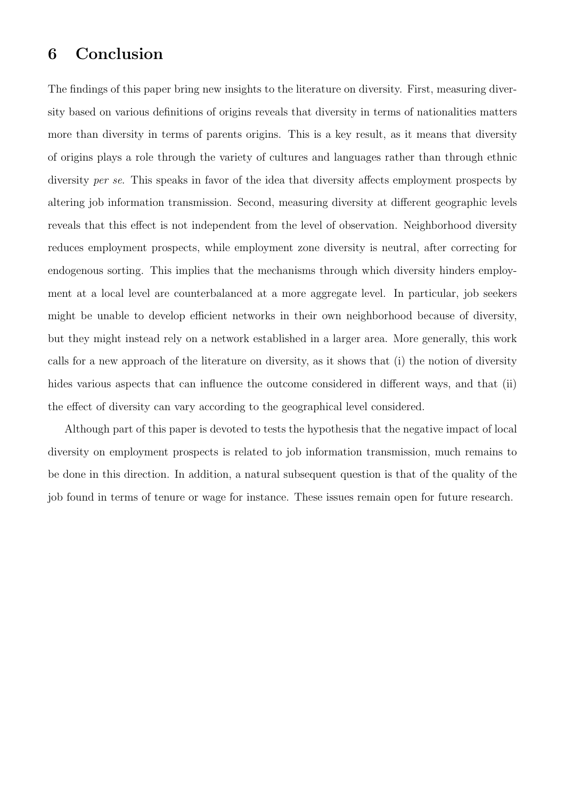## <span id="page-29-0"></span>6 Conclusion

The findings of this paper bring new insights to the literature on diversity. First, measuring diversity based on various definitions of origins reveals that diversity in terms of nationalities matters more than diversity in terms of parents origins. This is a key result, as it means that diversity of origins plays a role through the variety of cultures and languages rather than through ethnic diversity *per se*. This speaks in favor of the idea that diversity affects employment prospects by altering job information transmission. Second, measuring diversity at different geographic levels reveals that this effect is not independent from the level of observation. Neighborhood diversity reduces employment prospects, while employment zone diversity is neutral, after correcting for endogenous sorting. This implies that the mechanisms through which diversity hinders employment at a local level are counterbalanced at a more aggregate level. In particular, job seekers might be unable to develop efficient networks in their own neighborhood because of diversity, but they might instead rely on a network established in a larger area. More generally, this work calls for a new approach of the literature on diversity, as it shows that (i) the notion of diversity hides various aspects that can influence the outcome considered in different ways, and that (ii) the effect of diversity can vary according to the geographical level considered.

Although part of this paper is devoted to tests the hypothesis that the negative impact of local diversity on employment prospects is related to job information transmission, much remains to be done in this direction. In addition, a natural subsequent question is that of the quality of the job found in terms of tenure or wage for instance. These issues remain open for future research.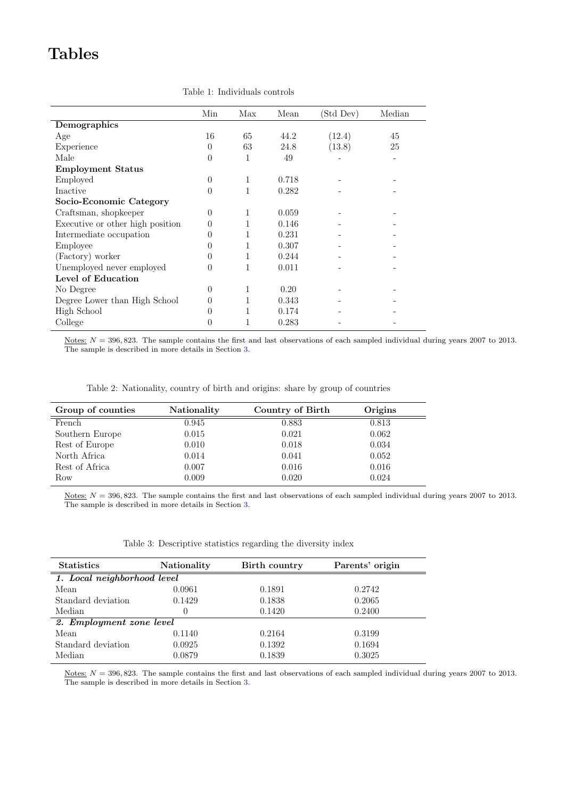# <span id="page-30-0"></span>Tables

|                                  | Min      | Max | Mean  | Std Dev) | Median |
|----------------------------------|----------|-----|-------|----------|--------|
| Demographics                     |          |     |       |          |        |
| Age                              | 16       | 65  | 44.2  | (12.4)   | 45     |
| Experience                       | $\theta$ | 63  | 24.8  | (13.8)   | 25     |
| Male                             | $\theta$ | 1   | 49    |          |        |
| <b>Employment Status</b>         |          |     |       |          |        |
| Employed                         | 0        | 1   | 0.718 |          |        |
| Inactive                         | $\Omega$ | 1   | 0.282 |          |        |
| Socio-Economic Category          |          |     |       |          |        |
| Craftsman, shopkeeper            | 0        | 1   | 0.059 |          |        |
| Executive or other high position | 0        | 1   | 0.146 |          |        |
| Intermediate occupation          | $\theta$ | 1   | 0.231 |          |        |
| Employee                         | $\theta$ | 1   | 0.307 |          |        |
| (Factory) worker                 | 0        | 1   | 0.244 |          |        |
| Unemployed never employed        | 0        | 1   | 0.011 |          |        |
| Level of Education               |          |     |       |          |        |
| No Degree                        | 0        | 1   | 0.20  |          |        |
| Degree Lower than High School    | 0        | 1   | 0.343 |          |        |
| <b>High School</b>               | $\theta$ | 1   | 0.174 |          |        |
| College                          | $\theta$ |     | 0.283 |          |        |

Table 1: Individuals controls

Notes:  $N = 396,823$ . The sample contains the first and last observations of each sampled individual during years 2007 to 2013. The sample is described in more details in Section [3.](#page-12-0)

Table 2: Nationality, country of birth and origins: share by group of countries

<span id="page-30-1"></span>

| Group of counties | <b>Nationality</b> | Country of Birth | Origins |
|-------------------|--------------------|------------------|---------|
| French            | 0.945              | 0.883            | 0.813   |
| Southern Europe   | 0.015              | 0.021            | 0.062   |
| Rest of Europe    | 0.010              | 0.018            | 0.034   |
| North Africa      | 0.014              | 0.041            | 0.052   |
| Rest of Africa    | 0.007              | 0.016            | 0.016   |
| Row               | 0.009              | 0.020            | 0.024   |

Notes:  $N = 396,823$ . The sample contains the first and last observations of each sampled individual during years 2007 to 2013. The sample is described in more details in Section [3.](#page-12-0)

<span id="page-30-2"></span>

| <b>Statistics</b>           | Nationality | Birth country | Parents' origin |
|-----------------------------|-------------|---------------|-----------------|
| 1. Local neighborhood level |             |               |                 |
| Mean                        | 0.0961      | 0.1891        | 0.2742          |
| Standard deviation          | 0.1429      | 0.1838        | 0.2065          |
| Median                      | 0           | 0.1420        | 0.2400          |
| 2. Employment zone level    |             |               |                 |
| Mean                        | 0.1140      | 0.2164        | 0.3199          |
| Standard deviation          | 0.0925      | 0.1392        | 0.1694          |
| Median                      | 0.0879      | 0.1839        | 0.3025          |

Notes:  $N = 396,823$ . The sample contains the first and last observations of each sampled individual during years 2007 to 2013. The sample is described in more details in Section [3.](#page-12-0)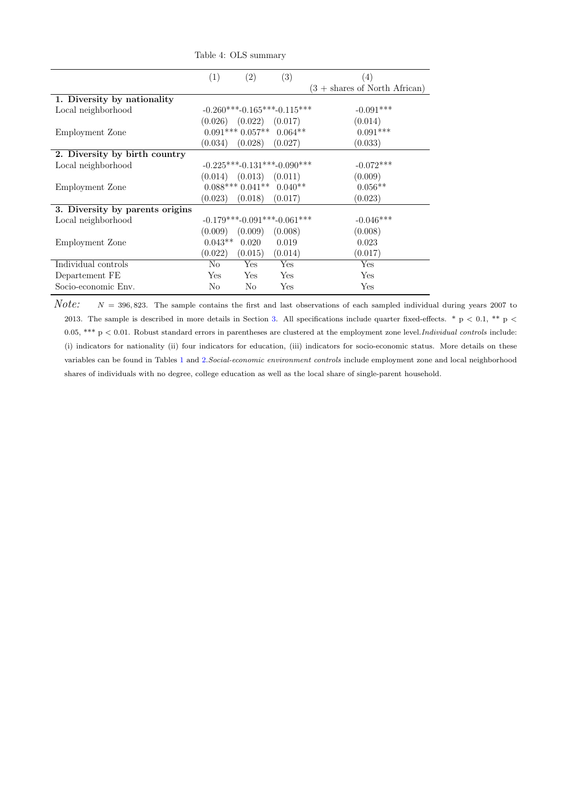<span id="page-31-0"></span>

|                                 | (1)            | (2)                           | (3)                            | (4)                                     |
|---------------------------------|----------------|-------------------------------|--------------------------------|-----------------------------------------|
|                                 |                |                               |                                | $(3 + \text{ shares of North African})$ |
| 1. Diversity by nationality     |                |                               |                                |                                         |
| Local neighborhood              |                |                               | $-0.260***$ -0.165***-0.115*** | $-0.091***$                             |
|                                 |                | $(0.026)$ $(0.022)$ $(0.017)$ |                                | (0.014)                                 |
| Employment Zone                 |                |                               | $0.091***0.057**0.064**$       | $0.091***$                              |
|                                 |                | $(0.034)$ $(0.028)$ $(0.027)$ |                                | (0.033)                                 |
| 2. Diversity by birth country   |                |                               |                                |                                         |
| Local neighborhood              |                |                               | $-0.225***-0.131***-0.090***$  | $-0.072***$                             |
|                                 |                | $(0.014)$ $(0.013)$ $(0.011)$ |                                | (0.009)                                 |
| Employment Zone                 |                |                               | $0.088***0.041**0.040**$       | $0.056**$                               |
|                                 |                | $(0.023)$ $(0.018)$ $(0.017)$ |                                | (0.023)                                 |
| 3. Diversity by parents origins |                |                               |                                |                                         |
| Local neighborhood              |                |                               | $-0.179***-0.091***-0.061***$  | $-0.046***$                             |
|                                 |                | $(0.009)$ $(0.009)$           | (0.008)                        | (0.008)                                 |
| Employment Zone                 |                | $0.043**$ 0.020               | 0.019                          | 0.023                                   |
|                                 | (0.022)        | (0.015)                       | (0.014)                        | (0.017)                                 |
| Individual controls             | No.            | Yes                           | Yes                            | Yes                                     |
| Departement FE                  | Yes            | Yes.                          | Yes                            | <b>Yes</b>                              |
| Socio-economic Env.             | N <sub>0</sub> | N <sub>0</sub>                | Yes                            | Yes                                     |
|                                 |                |                               |                                |                                         |

Table 4: OLS summary

 $Note:$   $N = 396,823.$  The sample contains the first and last observations of each sampled individual during years 2007 to 201[3.](#page-12-0) The sample is described in more details in Section 3. All specifications include quarter fixed-effects. \*  $p < 0.1$ , \*\*  $p <$  $0.05$ , \*\*\*  $p < 0.01$ . Robust standard errors in parentheses are clustered at the employment zone level.*Individual controls* include: (i) indicators for nationality (ii) four indicators for education, (iii) indicators for socio-economic status. More details on these variables can be found in Tables [1](#page-30-0) and [2.](#page-30-1)Social-economic environment controls include employment zone and local neighborhood shares of individuals with no degree, college education as well as the local share of single-parent household.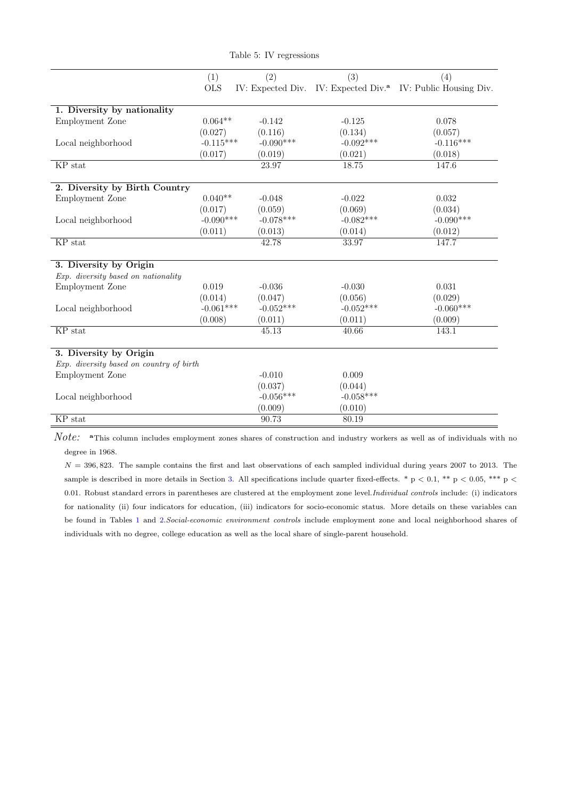<span id="page-32-0"></span>

|                                          | (1)         | (2)         | (3)         | (4)                                                                      |
|------------------------------------------|-------------|-------------|-------------|--------------------------------------------------------------------------|
|                                          | <b>OLS</b>  |             |             | IV: Expected Div. IV: Expected Div. <sup>a</sup> IV: Public Housing Div. |
|                                          |             |             |             |                                                                          |
| 1. Diversity by nationality              |             |             |             |                                                                          |
| <b>Employment Zone</b>                   | $0.064**$   | $-0.142$    | $-0.125$    | 0.078                                                                    |
|                                          | (0.027)     | (0.116)     | (0.134)     | (0.057)                                                                  |
| Local neighborhood                       | $-0.115***$ | $-0.090***$ | $-0.092***$ | $-0.116***$                                                              |
|                                          | (0.017)     | (0.019)     | (0.021)     | (0.018)                                                                  |
| KP stat                                  |             | 23.97       | 18.75       | 147.6                                                                    |
| 2. Diversity by Birth Country            |             |             |             |                                                                          |
| <b>Employment Zone</b>                   | $0.040**$   | $-0.048$    | $-0.022$    | 0.032                                                                    |
|                                          | (0.017)     | (0.059)     | (0.069)     | (0.034)                                                                  |
| Local neighborhood                       | $-0.090***$ | $-0.078***$ | $-0.082***$ | $-0.090***$                                                              |
|                                          | (0.011)     | (0.013)     | (0.014)     | (0.012)                                                                  |
| KP stat                                  |             | 42.78       | 33.97       | 147.7                                                                    |
| 3. Diversity by Origin                   |             |             |             |                                                                          |
| Exp. diversity based on nationality      |             |             |             |                                                                          |
| <b>Employment Zone</b>                   | 0.019       | $-0.036$    | $-0.030$    | 0.031                                                                    |
|                                          | (0.014)     | (0.047)     | (0.056)     | (0.029)                                                                  |
| Local neighborhood                       | $-0.061***$ | $-0.052***$ | $-0.052***$ | $-0.060***$                                                              |
|                                          | (0.008)     | (0.011)     | (0.011)     | (0.009)                                                                  |
| KP stat                                  |             | 45.13       | 40.66       | 143.1                                                                    |
| 3. Diversity by Origin                   |             |             |             |                                                                          |
| Exp. diversity based on country of birth |             |             |             |                                                                          |
| <b>Employment Zone</b>                   |             | $-0.010$    | 0.009       |                                                                          |
|                                          |             | (0.037)     | (0.044)     |                                                                          |
| Local neighborhood                       |             | $-0.056***$ | $-0.058***$ |                                                                          |
|                                          |             | (0.009)     | (0.010)     |                                                                          |
| KP stat                                  |             | 90.73       | 80.19       |                                                                          |

Table 5: IV regressions

 $Note:$  <sup>a</sup>This column includes employment zones shares of construction and industry workers as well as of individuals with no degree in 1968.

 $N = 396,823$ . The sample contains the first and last observations of each sampled individual during years 2007 to 2013. The sample is described in more details in Section [3.](#page-12-0) All specifications include quarter fixed-effects. \*  $p < 0.1$ , \*\*  $p < 0.05$ , \*\*\*  $p <$ 0.01. Robust standard errors in parentheses are clustered at the employment zone level.*Individual controls* include: (i) indicators for nationality (ii) four indicators for education, (iii) indicators for socio-economic status. More details on these variables can be found in Tables [1](#page-30-0) and [2.](#page-30-1)Social-economic environment controls include employment zone and local neighborhood shares of individuals with no degree, college education as well as the local share of single-parent household.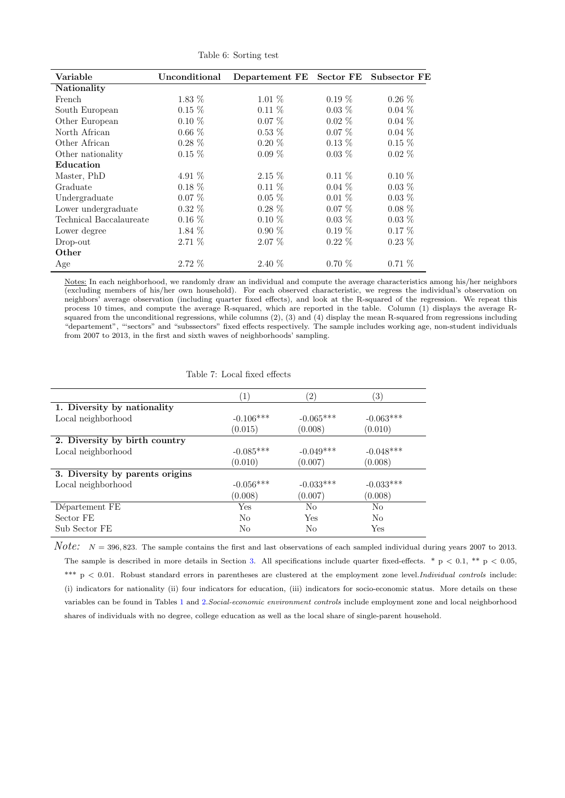| Table 6: Sorting test |  |  |
|-----------------------|--|--|
|-----------------------|--|--|

<span id="page-33-0"></span>

| Variable                | Unconditional | Departement FE | Sector FE | Subsector FE |
|-------------------------|---------------|----------------|-----------|--------------|
| Nationality             |               |                |           |              |
| French                  | $1.83\%$      | $1.01\%$       | $0.19\%$  | $0.26\%$     |
| South European          | $0.15\%$      | $0.11\%$       | $0.03\%$  | $0.04\%$     |
| Other European          | $0.10\%$      | $0.07\%$       | $0.02\%$  | $0.04\%$     |
| North African           | $0.66\%$      | $0.53\%$       | $0.07\%$  | $0.04\%$     |
| Other African           | $0.28\%$      | $0.20\%$       | $0.13\%$  | $0.15\%$     |
| Other nationality       | $0.15\%$      | $0.09\%$       | $0.03\%$  | $0.02\%$     |
| Education               |               |                |           |              |
| Master, PhD             | 4.91 $%$      | $2.15\%$       | $0.11\%$  | $0.10\%$     |
| Graduate                | $0.18\%$      | $0.11\%$       | $0.04\%$  | $0.03\%$     |
| Undergraduate           | $0.07\%$      | $0.05\%$       | $0.01\%$  | $0.03\%$     |
| Lower undergraduate     | $0.32\%$      | $0.28\%$       | $0.07\%$  | $0.08\%$     |
| Technical Baccalaureate | $0.16\%$      | $0.10\%$       | $0.03\%$  | $0.03\%$     |
| Lower degree            | 1.84 $%$      | $0.90\%$       | $0.19\%$  | $0.17\%$     |
| Drop-out                | 2.71 %        | $2.07\%$       | $0.22\%$  | $0.23\%$     |
| Other                   |               |                |           |              |
| Age                     | $2.72\%$      | $2.40\%$       | $0.70\%$  | $0.71\%$     |

Notes: In each neighborhood, we randomly draw an individual and compute the average characteristics among his/her neighbors (excluding members of his/her own household). For each observed characteristic, we regress the individual's observation on neighbors' average observation (including quarter fixed effects), and look at the R-squared of the regression. We repeat this process 10 times, and compute the average R-squared, which are reported in the table. Column (1) displays the average Rsquared from the unconditional regressions, while columns (2), (3) and (4) display the mean R-squared from regressions including "departement", "'sectors" and "subssectors" fixed effects respectively. The sample includes working age, non-student individuals from 2007 to 2013, in the first and sixth waves of neighborhoods' sampling.

Table 7: Local fixed effects

<span id="page-33-1"></span>

|                                 | $\left(1\right)$ | $\left( 2\right)$ | $\left( 3\right)$ |
|---------------------------------|------------------|-------------------|-------------------|
| 1. Diversity by nationality     |                  |                   |                   |
| Local neighborhood              | $-0.106***$      | $-0.065***$       | $-0.063***$       |
|                                 | (0.015)          | (0.008)           | (0.010)           |
| 2. Diversity by birth country   |                  |                   |                   |
| Local neighborhood              | $-0.085***$      | $-0.049***$       | $-0.048***$       |
|                                 | (0.010)          | (0.007)           | (0.008)           |
| 3. Diversity by parents origins |                  |                   |                   |
| Local neighborhood              | $-0.056***$      | $-0.033***$       | $-0.033***$       |
|                                 | (0.008)          | (0.007)           | (0.008)           |
| Département FE                  | Yes              | N <sub>0</sub>    | No                |
| Sector FE                       | N <sub>0</sub>   | Yes               | N <sub>0</sub>    |
| Sub Sector FE                   | No               | No                | Yes               |
|                                 |                  |                   |                   |

 $Note: N = 396,823.$  The sample contains the first and last observations of each sampled individual during years 2007 to 2013. The sample is described in more details in Section [3.](#page-12-0) All specifications include quarter fixed-effects. \*  $p < 0.1$ , \*\*  $p < 0.05$ , \*\*\* p < 0.01. Robust standard errors in parentheses are clustered at the employment zone level.*Individual controls* include: (i) indicators for nationality (ii) four indicators for education, (iii) indicators for socio-economic status. More details on these variables can be found in Tables [1](#page-30-0) and [2.](#page-30-1)Social-economic environment controls include employment zone and local neighborhood shares of individuals with no degree, college education as well as the local share of single-parent household.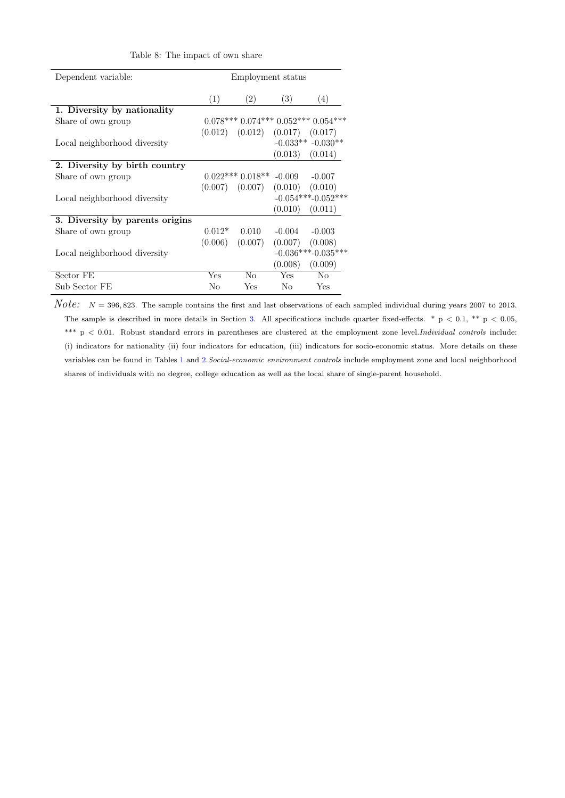Table 8: The impact of own share

<span id="page-34-0"></span>

| Dependent variable:             | Employment status |                                         |                     |                                    |
|---------------------------------|-------------------|-----------------------------------------|---------------------|------------------------------------|
|                                 | (1)               | (2)                                     | (3)                 | (4)                                |
| 1. Diversity by nationality     |                   |                                         |                     |                                    |
| Share of own group              |                   |                                         |                     | $0.078***0.074***0.052***0.054***$ |
|                                 |                   | $(0.012)$ $(0.012)$ $(0.017)$ $(0.017)$ |                     |                                    |
| Local neighborhood diversity    |                   |                                         |                     | $-0.033**$ $-0.030**$              |
|                                 |                   |                                         |                     | $(0.013)$ $(0.014)$                |
| 2. Diversity by birth country   |                   |                                         |                     |                                    |
| Share of own group              |                   | $0.022***0.018** -0.009 -0.007$         |                     |                                    |
|                                 |                   | $(0.007)$ $(0.007)$ $(0.010)$ $(0.010)$ |                     |                                    |
| Local neighborhood diversity    |                   |                                         |                     | $-0.054***-0.052***$               |
|                                 |                   |                                         |                     | $(0.010)$ $(0.011)$                |
| 3. Diversity by parents origins |                   |                                         |                     |                                    |
| Share of own group              | $0.012*$          | 0.010                                   | $-0.004$            | $-0.003$                           |
|                                 | (0.006)           | (0.007)                                 | $(0.007)$ $(0.008)$ |                                    |
| Local neighborhood diversity    |                   |                                         |                     | $-0.036***+0.035***$               |
|                                 |                   |                                         |                     | $(0.008)$ $(0.009)$                |
| Sector FE                       | Yes               | No                                      | Yes                 | N <sub>o</sub>                     |
| Sub Sector FE                   | No                | Yes                                     | N <sub>o</sub>      | Yes                                |

 $Note: N = 396, 823.$  The sample contains the first and last observations of each sampled individual during years 2007 to 2013. The sample is described in more details in Section [3.](#page-12-0) All specifications include quarter fixed-effects. \* p < 0.1, \*\* p < 0.05, \*\*\* p < 0.01. Robust standard errors in parentheses are clustered at the employment zone level.*Individual controls* include: (i) indicators for nationality (ii) four indicators for education, (iii) indicators for socio-economic status. More details on these variables can be found in Tables [1](#page-30-0) and [2.](#page-30-1)Social-economic environment controls include employment zone and local neighborhood shares of individuals with no degree, college education as well as the local share of single-parent household.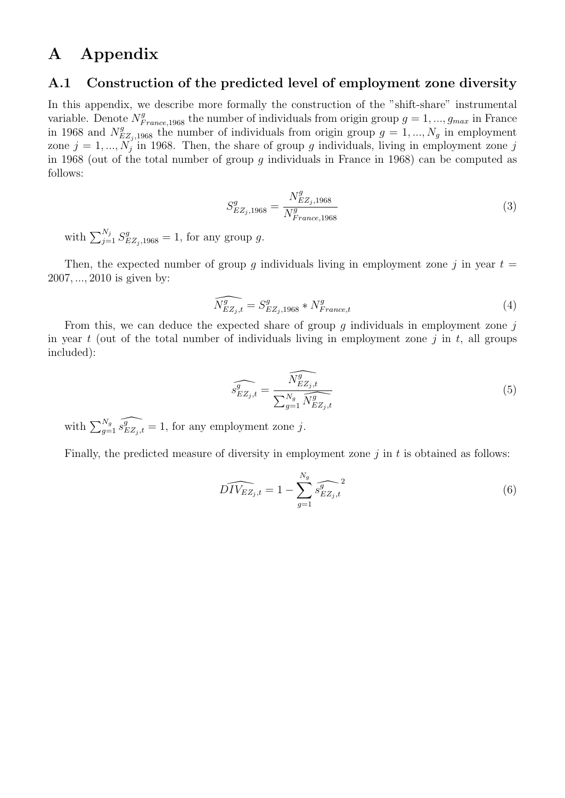### <span id="page-35-0"></span>A Appendix

#### A.1 Construction of the predicted level of employment zone diversity

In this appendix, we describe more formally the construction of the "shift-share" instrumental variable. Denote  $N_{France, 1968}^g$  the number of individuals from origin group  $g = 1, ..., g_{max}$  in France in 1968 and  $N_{EZ_j,1968}^g$  the number of individuals from origin group  $g = 1, ..., N_g$  in employment zone  $j = 1, ..., N<sub>j</sub>$  in 1968. Then, the share of group g individuals, living in employment zone j in 1968 (out of the total number of group  $g$  individuals in France in 1968) can be computed as follows:

$$
S_{EZ_j,1968}^g = \frac{N_{EZ_j,1968}^g}{N_{France,1968}^g} \tag{3}
$$

with  $\sum_{j=1}^{N_j} S_{EZ_j,1968}^g = 1$ , for any group g.

Then, the expected number of group q individuals living in employment zone j in year  $t =$ 2007, ..., 2010 is given by:

$$
\widehat{N_{EZ_j,t}^g} = S_{EZ_j,1968}^g * N_{France,t}^g \tag{4}
$$

From this, we can deduce the expected share of group  $g$  individuals in employment zone  $j$ in year t (out of the total number of individuals living in employment zone  $j$  in  $t$ , all groups included):

$$
\widehat{s_{EZ_j,t}^g} = \frac{\widehat{N_{EZ_j,t}^g}}{\sum_{g=1}^{N_g} \widehat{N_{EZ_j,t}^g}}
$$
\n
$$
\tag{5}
$$

with  $\sum_{g=1}^{N_g} s_{EZ_j,t}^g = 1$ , for any employment zone j.

Finally, the predicted measure of diversity in employment zone  $j$  in  $t$  is obtained as follows:

$$
\widehat{DIV_{EZ_j,t}} = 1 - \sum_{g=1}^{N_g} \widehat{s_{EZ_j,t}^g}^2 \tag{6}
$$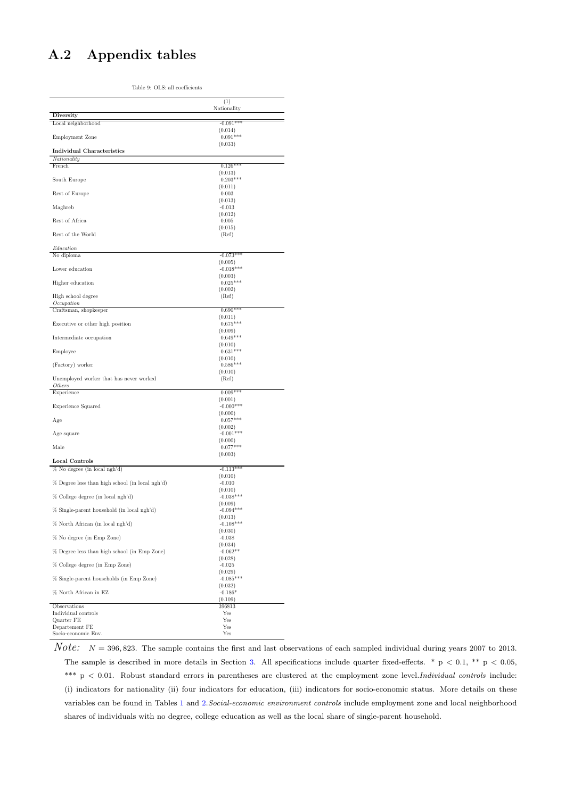## <span id="page-36-0"></span>A.2 Appendix tables

Table 9: OLS: all coefficients

<span id="page-36-1"></span>

|                                                 | (1)<br>Nationality     |
|-------------------------------------------------|------------------------|
| Diversity                                       |                        |
| Local neighborhood                              | $-0.091***$            |
|                                                 | (0.014)                |
| Employment Zone                                 | $0.091***$             |
| Individual Characteristics                      | (0.033)                |
| Nationality                                     |                        |
| French                                          | $0.126***$             |
|                                                 | (0.013)                |
| South Europe                                    | $0.203***$             |
| Rest of Europe                                  | (0.011)<br>0.003       |
|                                                 | (0.013)                |
| Maghreb                                         | $-0.013$               |
| Rest of Africa                                  | (0.012)<br>0.005       |
|                                                 | (0.015)                |
| Rest of the World                               | (Ref)                  |
|                                                 |                        |
| Education                                       |                        |
| No diploma                                      | $-0.073***$<br>(0.005) |
| Lower education                                 | $-0.018***$            |
|                                                 | (0.003)                |
| Higher education                                | $0.025***$             |
| High school degree                              | (0.002)<br>(Ref)       |
| Occupation                                      |                        |
| Craftsman, shopkeeper                           | $0.690***$             |
|                                                 | (0.011)                |
| Executive or other high position                | $0.675***$<br>(0.009)  |
| Intermediate occupation                         | $0.649***$             |
|                                                 | (0.010)                |
| Employee                                        | $0.631***$             |
| (Factory) worker                                | (0.010)<br>$0.586***$  |
|                                                 | (0.010)                |
| Unemployed worker that has never worked         | (Ref)                  |
| Others                                          | $0.009***$             |
| Experience                                      | (0.001)                |
| Experience Squared                              | $-0.000***$            |
|                                                 | (0.000)                |
| Age                                             | $0.057***$             |
| Age square                                      | (0.002)<br>$-0.001***$ |
|                                                 | (0.000)                |
| Male                                            | $0.077***$             |
| <b>Local Controls</b>                           | (0.003)                |
| % No degree (in local ngh'd)                    | $-0.113***$            |
|                                                 | (0.010)                |
| % Degree less than high school (in local ngh'd) | $-0.010$               |
|                                                 | (0.010)                |
| % College degree (in local ngh'd)               | $-0.038***$<br>(0.009) |
| % Single-parent household (in local ngh'd)      | $-0.094***$            |
|                                                 | (0.013)                |
| % North African (in local ngh'd)                | $-0.108***$            |
| % No degree (in Emp Zone)                       | (0.030)<br>$-0.038$    |
|                                                 | (0.034)                |
| % Degree less than high school (in Emp Zone)    | $-0.062**$             |
|                                                 | (0.028)                |
| % College degree (in Emp Zone)                  | $-0.025$<br>(0.029)    |
| % Single-parent households (in Emp Zone)        | $-0.085***$            |
|                                                 | (0.032)                |
| % North African in EZ                           | $-0.186*$              |
| Observations                                    | (0.109)<br>396813      |
| Individual controls                             | Yes                    |
| Quarter FE                                      | Yes                    |
| Departement FE                                  | Yes                    |
| Socio-economic Env.                             | Yes                    |

 $Note: N = 396, 823.$  The sample contains the first and last observations of each sampled individual during years 2007 to 2013. The sample is described in more details in Section [3.](#page-12-0) All specifications include quarter fixed-effects. \*  $p < 0.1$ , \*\*  $p < 0.05$ , \*\*\* p < 0.01. Robust standard errors in parentheses are clustered at the employment zone level.*Individual controls* include: (i) indicators for nationality (ii) four indicators for education, (iii) indicators for socio-economic status. More details on these variables can be found in Tables [1](#page-30-0) and [2.](#page-30-1)Social-economic environment controls include employment zone and local neighborhood shares of individuals with no degree, college education as well as the local share of single-parent household.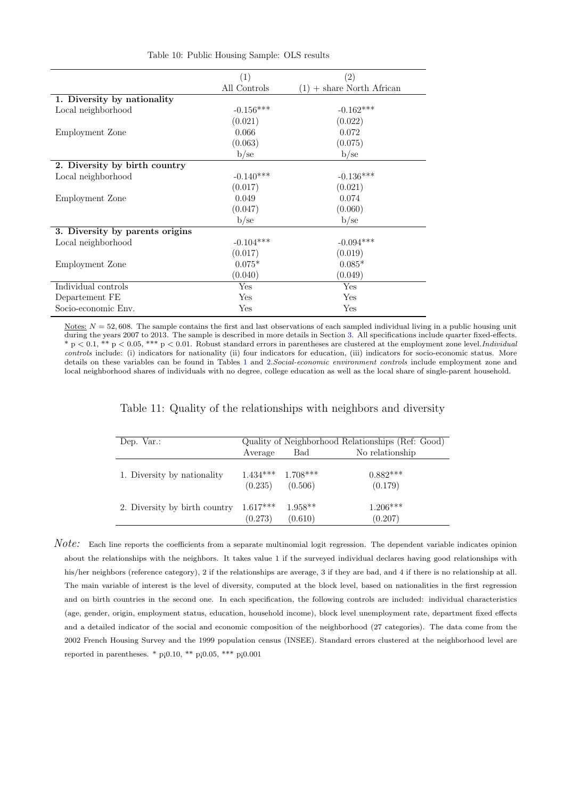<span id="page-37-0"></span>

|                                 | (1)          | $\left( 2\right)$           |
|---------------------------------|--------------|-----------------------------|
|                                 | All Controls | $(1)$ + share North African |
| 1. Diversity by nationality     |              |                             |
| Local neighborhood              | $-0.156***$  | $-0.162***$                 |
|                                 | (0.021)      | (0.022)                     |
| Employment Zone                 | 0.066        | 0.072                       |
|                                 | (0.063)      | (0.075)                     |
|                                 | b/se         | b/se                        |
| 2. Diversity by birth country   |              |                             |
| Local neighborhood              | $-0.140***$  | $-0.136***$                 |
|                                 | (0.017)      | (0.021)                     |
| Employment Zone                 | 0.049        | 0.074                       |
|                                 | (0.047)      | (0.060)                     |
|                                 | b/se         | b/se                        |
| 3. Diversity by parents origins |              |                             |
| Local neighborhood              | $-0.104***$  | $-0.094***$                 |
|                                 | (0.017)      | (0.019)                     |
| Employment Zone                 | $0.075*$     | $0.085*$                    |
|                                 | (0.040)      | (0.049)                     |
| Individual controls             | Yes          | Yes                         |
| Departement FE                  | <b>Yes</b>   | Yes                         |
| Socio-economic Env.             | Yes          | Yes                         |

Notes:  $N = 52,608$ . The sample contains the first and last observations of each sampled individual living in a public housing unit during the years 2007 to 2013. The sample is described in more details in Section [3.](#page-12-0) All specifications include quarter fixed-effects. \* p < 0.1, \*\* p < 0.05, \*\*\* p < 0.01. Robust standard errors in parentheses are clustered at the employment zone level. Individual

<span id="page-37-1"></span>controls include: (i) indicators for nationality (ii) four indicators for education, (iii) indicators for socio-economic status. More details on these variables can be found in Tables [1](#page-30-0) and [2.](#page-30-1)Social-economic environment controls include employment zone and local neighborhood shares of individuals with no degree, college education as well as the local share of single-parent household.

|  | Table 11: Quality of the relationships with neighbors and diversity |  |  |
|--|---------------------------------------------------------------------|--|--|
|  |                                                                     |  |  |

| Dep. Var.:                    | Bad<br>Average        |                                | Quality of Neighborhood Relationships (Ref: Good)<br>No relationship |  |  |
|-------------------------------|-----------------------|--------------------------------|----------------------------------------------------------------------|--|--|
| 1. Diversity by nationality   | (0.235)               | $1.434***$ 1.708***<br>(0.506) | $0.882***$<br>(0.179)                                                |  |  |
| 2. Diversity by birth country | $1.617***$<br>(0.273) | $1.958**$<br>(0.610)           | $1.206***$<br>(0.207)                                                |  |  |

 $Note:$  Each line reports the coefficients from a separate multinomial logit regression. The dependent variable indicates opinion about the relationships with the neighbors. It takes value 1 if the surveyed individual declares having good relationships with his/her neighbors (reference category), 2 if the relationships are average, 3 if they are bad, and 4 if there is no relationship at all. The main variable of interest is the level of diversity, computed at the block level, based on nationalities in the first regression and on birth countries in the second one. In each specification, the following controls are included: individual characteristics (age, gender, origin, employment status, education, household income), block level unemployment rate, department fixed effects and a detailed indicator of the social and economic composition of the neighborhood (27 categories). The data come from the 2002 French Housing Survey and the 1999 population census (INSEE). Standard errors clustered at the neighborhood level are reported in parentheses. \* p;0.10, \*\* p;0.05, \*\*\* p;0.001

Table 10: Public Housing Sample: OLS results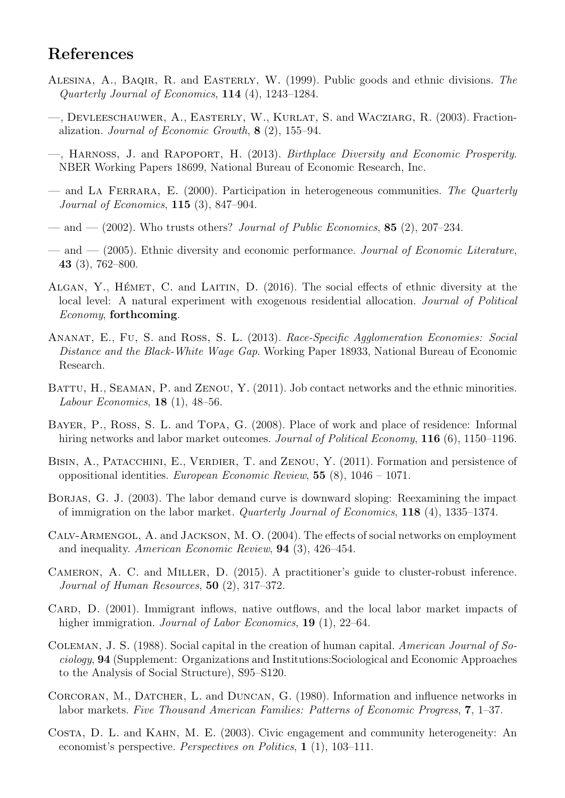# References

- <span id="page-38-6"></span>ALESINA, A., BAQIR, R. and EASTERLY, W. (1999). Public goods and ethnic divisions. The Quarterly Journal of Economics, 114 (4), 1243–1284.
- <span id="page-38-16"></span>—, Devleeschauwer, A., Easterly, W., Kurlat, S. and Wacziarg, R. (2003). Fractionalization. Journal of Economic Growth, 8 (2), 155–94.
- <span id="page-38-10"></span>—, Harnoss, J. and Rapoport, H. (2013). Birthplace Diversity and Economic Prosperity. NBER Working Papers 18699, National Bureau of Economic Research, Inc.
- <span id="page-38-7"></span>— and LA FERRARA, E.  $(2000)$ . Participation in heterogeneous communities. The Quarterly Journal of Economics, 115 (3), 847–904.
- <span id="page-38-9"></span>— and —  $(2002)$ . Who trusts others? *Journal of Public Economics*, **85** (2), 207–234.
- <span id="page-38-2"></span>— and — (2005). Ethnic diversity and economic performance. Journal of Economic Literature, 43 (3), 762–800.
- <span id="page-38-4"></span>ALGAN, Y., HÉMET, C. and LAITIN, D. (2016). The social effects of ethnic diversity at the local level: A natural experiment with exogenous residential allocation. Journal of Political Economy, forthcoming.
- <span id="page-38-14"></span>Ananat, E., Fu, S. and Ross, S. L. (2013). Race-Specific Agglomeration Economies: Social Distance and the Black-White Wage Gap. Working Paper 18933, National Bureau of Economic Research.
- <span id="page-38-13"></span>BATTU, H., SEAMAN, P. and ZENOU, Y. (2011). Job contact networks and the ethnic minorities. *Labour Economics*, **18** (1),  $48-56$ .
- <span id="page-38-0"></span>Bayer, P., Ross, S. L. and Topa, G. (2008). Place of work and place of residence: Informal hiring networks and labor market outcomes. Journal of Political Economy, 116 (6), 1150–1196.
- <span id="page-38-15"></span>BISIN, A., PATACCHINI, E., VERDIER, T. and ZENOU, Y. (2011). Formation and persistence of oppositional identities. European Economic Review, 55 (8), 1046 – 1071.
- <span id="page-38-1"></span>BORJAS, G. J. (2003). The labor demand curve is downward sloping: Reexamining the impact of immigration on the labor market. Quarterly Journal of Economics, 118 (4), 1335–1374.
- <span id="page-38-12"></span>Calv-Armengol, A. and Jackson, M. O. (2004). The effects of social networks on employment and inequality. American Economic Review, 94 (3), 426–454.
- <span id="page-38-17"></span>Cameron, A. C. and Miller, D. (2015). A practitioner's guide to cluster-robust inference. Journal of Human Resources, 50 (2), 317–372.
- <span id="page-38-5"></span>CARD, D. (2001). Immigrant inflows, native outflows, and the local labor market impacts of higher immigration. *Journal of Labor Economics*, **19** (1), 22–64.
- <span id="page-38-3"></span>Coleman, J. S. (1988). Social capital in the creation of human capital. American Journal of Sociology, 94 (Supplement: Organizations and Institutions:Sociological and Economic Approaches to the Analysis of Social Structure), S95–S120.
- <span id="page-38-11"></span>CORCORAN, M., DATCHER, L. and DUNCAN, G. (1980). Information and influence networks in labor markets. Five Thousand American Families: Patterns of Economic Progress, 7, 1–37.
- <span id="page-38-8"></span>Costa, D. L. and Kahn, M. E. (2003). Civic engagement and community heterogeneity: An economist's perspective. Perspectives on Politics, 1 (1), 103–111.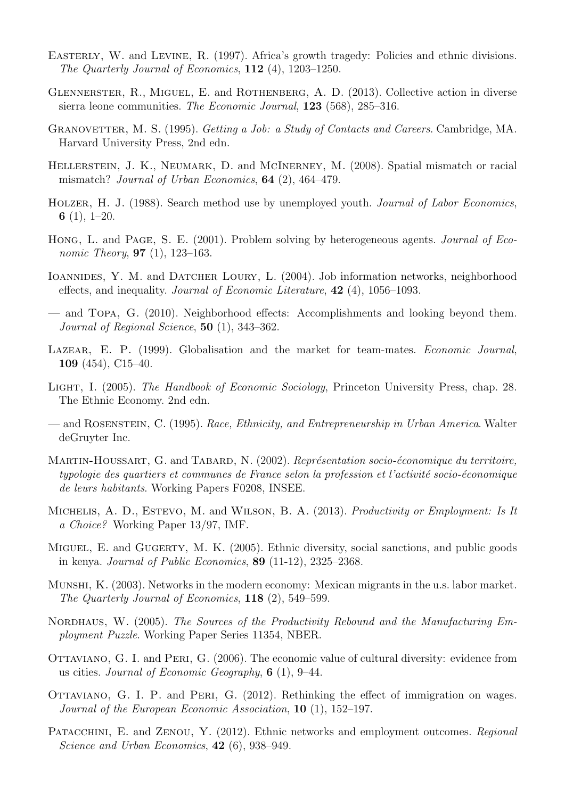- <span id="page-39-6"></span>EASTERLY, W. and LEVINE, R. (1997). Africa's growth tragedy: Policies and ethnic divisions. The Quarterly Journal of Economics, 112 (4), 1203–1250.
- <span id="page-39-9"></span>GLENNERSTER, R., MIGUEL, E. and ROTHENBERG, A. D. (2013). Collective action in diverse sierra leone communities. The Economic Journal, 123 (568), 285–316.
- <span id="page-39-10"></span>GRANOVETTER, M. S. (1995). Getting a Job: a Study of Contacts and Careers. Cambridge, MA. Harvard University Press, 2nd edn.
- <span id="page-39-15"></span>HELLERSTEIN, J. K., NEUMARK, D. and MCINERNEY, M. (2008). Spatial mismatch or racial mismatch? *Journal of Urban Economics*, **64** (2), 464-479.
- <span id="page-39-11"></span>Holzer, H. J. (1988). Search method use by unemployed youth. Journal of Labor Economics, 6  $(1)$ , 1–20.
- <span id="page-39-8"></span>Hong, L. and Page, S. E. (2001). Problem solving by heterogeneous agents. Journal of Economic Theory, **97** (1), 123-163.
- <span id="page-39-2"></span>IOANNIDES, Y. M. and DATCHER LOURY, L. (2004). Job information networks, neighborhood effects, and inequality. Journal of Economic Literature, 42 (4), 1056–1093.
- <span id="page-39-12"></span>— and Topa, G. (2010). Neighborhood effects: Accomplishments and looking beyond them. Journal of Regional Science, 50 (1), 343–362.
- <span id="page-39-3"></span>LAZEAR, E. P. (1999). Globalisation and the market for team-mates. *Economic Journal*, 109 (454), C15–40.
- <span id="page-39-14"></span>LIGHT, I. (2005). The Handbook of Economic Sociology, Princeton University Press, chap. 28. The Ethnic Economy. 2nd edn.
- <span id="page-39-13"></span>— and Rosenstein, C. (1995). Race, Ethnicity, and Entrepreneurship in Urban America. Walter deGruyter Inc.
- <span id="page-39-18"></span>MARTIN-HOUSSART, G. and TABARD, N. (2002). Représentation socio-économique du territoire, typologie des quartiers et communes de France selon la profession et l'activité socio-économique de leurs habitants. Working Papers F0208, INSEE.
- <span id="page-39-5"></span>MICHELIS, A. D., ESTEVO, M. and WILSON, B. A. (2013). Productivity or Employment: Is It a Choice? Working Paper 13/97, IMF.
- <span id="page-39-7"></span>Miguel, E. and Gugerty, M. K. (2005). Ethnic diversity, social sanctions, and public goods in kenya. Journal of Public Economics, 89 (11-12), 2325–2368.
- <span id="page-39-17"></span>Munshi, K. (2003). Networks in the modern economy: Mexican migrants in the u.s. labor market. The Quarterly Journal of Economics, 118 (2), 549–599.
- <span id="page-39-4"></span>NORDHAUS, W. (2005). The Sources of the Productivity Rebound and the Manufacturing Employment Puzzle. Working Paper Series 11354, NBER.
- <span id="page-39-1"></span>Ottaviano, G. I. and Peri, G. (2006). The economic value of cultural diversity: evidence from us cities. Journal of Economic Geography,  $6(1)$ , 9–44.
- <span id="page-39-0"></span>OTTAVIANO, G. I. P. and PERI, G. (2012). Rethinking the effect of immigration on wages. Journal of the European Economic Association, 10 (1), 152–197.
- <span id="page-39-16"></span>PATACCHINI, E. and ZENOU, Y. (2012). Ethnic networks and employment outcomes. Regional Science and Urban Economics, 42 (6), 938-949.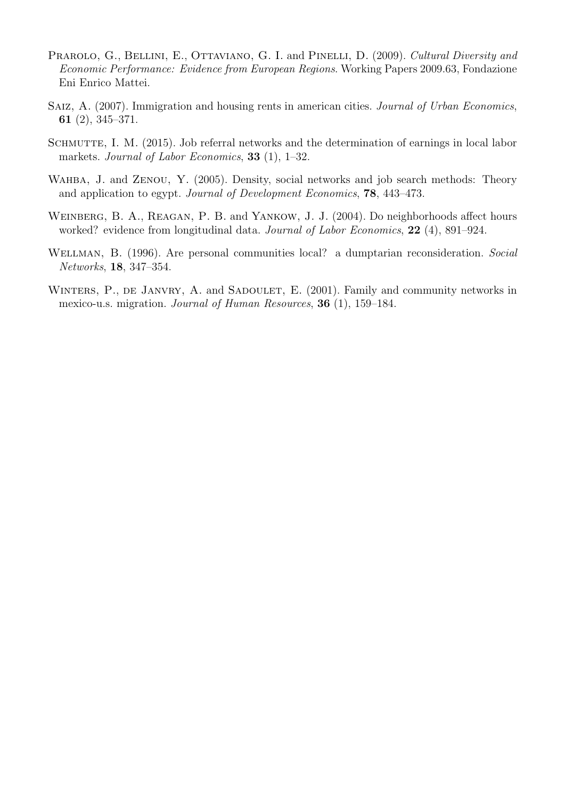- <span id="page-40-0"></span>PRAROLO, G., BELLINI, E., OTTAVIANO, G. I. and PINELLI, D. (2009). Cultural Diversity and Economic Performance: Evidence from European Regions. Working Papers 2009.63, Fondazione Eni Enrico Mattei.
- <span id="page-40-1"></span>SAIZ, A. (2007). Immigration and housing rents in american cities. Journal of Urban Economics, 61 (2), 345–371.
- <span id="page-40-6"></span>SCHMUTTE, I. M. (2015). Job referral networks and the determination of earnings in local labor markets. Journal of Labor Economics, 33 (1), 1–32.
- <span id="page-40-2"></span>WAHBA, J. and ZENOU, Y. (2005). Density, social networks and job search methods: Theory and application to egypt. Journal of Development Economics, 78, 443–473.
- <span id="page-40-4"></span>WEINBERG, B. A., REAGAN, P. B. and YANKOW, J. J. (2004). Do neighborhoods affect hours worked? evidence from longitudinal data. *Journal of Labor Economics*, 22 (4), 891–924.
- <span id="page-40-3"></span>WELLMAN, B. (1996). Are personal communities local? a dumptarian reconsideration. Social Networks, 18, 347–354.
- <span id="page-40-5"></span>WINTERS, P., DE JANVRY, A. and SADOULET, E. (2001). Family and community networks in mexico-u.s. migration. Journal of Human Resources, 36 (1), 159–184.